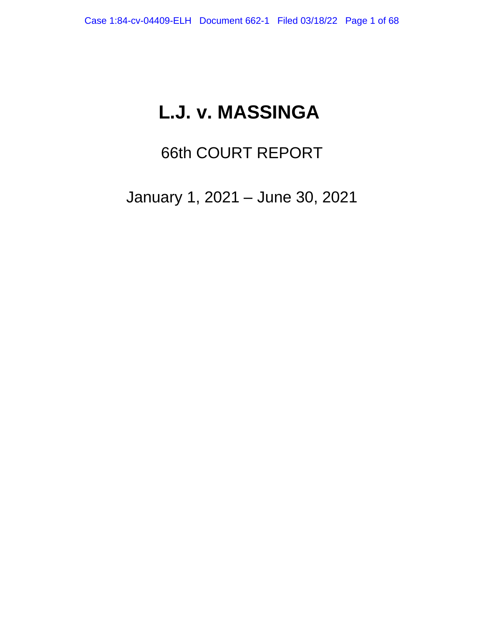# **L.J. v. MASSINGA**

# 66th COURT REPORT

January 1, 2021 – June 30, 2021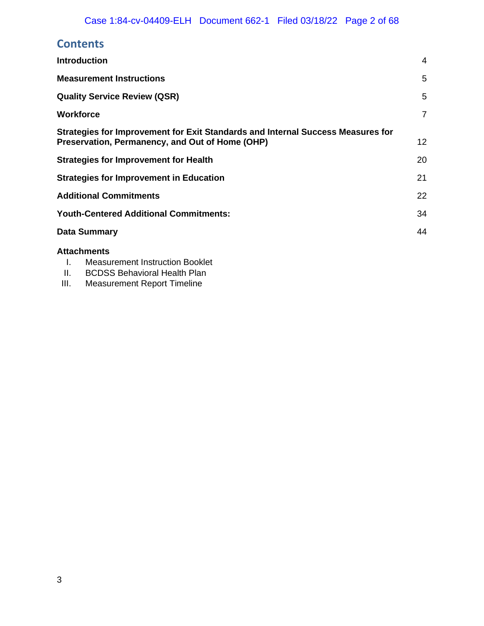# **Contents**

| <b>Introduction</b>                                                             | 4               |
|---------------------------------------------------------------------------------|-----------------|
| <b>Measurement Instructions</b>                                                 | 5               |
| <b>Quality Service Review (QSR)</b>                                             | 5               |
| <b>Workforce</b>                                                                | $\overline{7}$  |
| Strategies for Improvement for Exit Standards and Internal Success Measures for |                 |
| Preservation, Permanency, and Out of Home (OHP)                                 | 12 <sup>°</sup> |
| <b>Strategies for Improvement for Health</b>                                    | 20              |
| <b>Strategies for Improvement in Education</b>                                  | 21              |
| <b>Additional Commitments</b>                                                   | 22              |
| <b>Youth-Centered Additional Commitments:</b>                                   | 34              |
| <b>Data Summary</b>                                                             | 44              |
| <b>Attachments</b>                                                              |                 |

- I. Measurement Instruction Booklet
- II. BCDSS Behavioral Health Plan<br>III. Measurement Report Timeline
- Measurement Report Timeline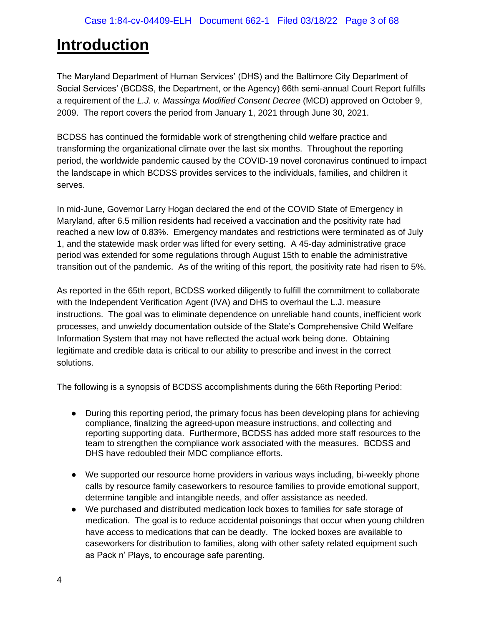# <span id="page-2-0"></span>**Introduction**

The Maryland Department of Human Services' (DHS) and the Baltimore City Department of Social Services' (BCDSS, the Department, or the Agency) 66th semi-annual Court Report fulfills a requirement of the *L.J. v. Massinga Modified Consent Decree* (MCD) approved on October 9, 2009. The report covers the period from January 1, 2021 through June 30, 2021.

BCDSS has continued the formidable work of strengthening child welfare practice and transforming the organizational climate over the last six months. Throughout the reporting period, the worldwide pandemic caused by the COVID-19 novel coronavirus continued to impact the landscape in which BCDSS provides services to the individuals, families, and children it serves.

In mid-June, Governor Larry Hogan declared the end of the COVID State of Emergency in Maryland, after 6.5 million residents had received a vaccination and the positivity rate had reached a new low of 0.83%. Emergency mandates and restrictions were terminated as of July 1, and the statewide mask order was lifted for every setting. A 45-day administrative grace period was extended for some regulations through August 15th to enable the administrative transition out of the pandemic. As of the writing of this report, the positivity rate had risen to 5%.

As reported in the 65th report, BCDSS worked diligently to fulfill the commitment to collaborate with the Independent Verification Agent (IVA) and DHS to overhaul the L.J. measure instructions. The goal was to eliminate dependence on unreliable hand counts, inefficient work processes, and unwieldy documentation outside of the State's Comprehensive Child Welfare Information System that may not have reflected the actual work being done. Obtaining legitimate and credible data is critical to our ability to prescribe and invest in the correct solutions.

The following is a synopsis of BCDSS accomplishments during the 66th Reporting Period:

- During this reporting period, the primary focus has been developing plans for achieving compliance, finalizing the agreed-upon measure instructions, and collecting and reporting supporting data. Furthermore, BCDSS has added more staff resources to the team to strengthen the compliance work associated with the measures. BCDSS and DHS have redoubled their MDC compliance efforts.
- We supported our resource home providers in various ways including, bi-weekly phone calls by resource family caseworkers to resource families to provide emotional support, determine tangible and intangible needs, and offer assistance as needed.
- We purchased and distributed medication lock boxes to families for safe storage of medication. The goal is to reduce accidental poisonings that occur when young children have access to medications that can be deadly. The locked boxes are available to caseworkers for distribution to families, along with other safety related equipment such as Pack n' Plays, to encourage safe parenting.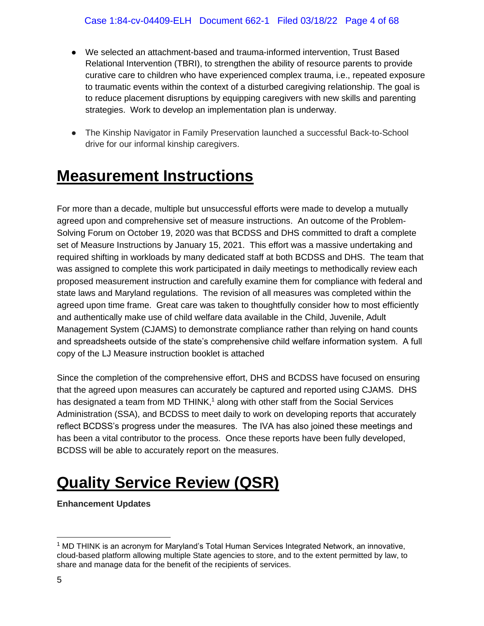- We selected an attachment-based and trauma-informed intervention, Trust Based Relational Intervention (TBRI), to strengthen the ability of resource parents to provide curative care to children who have experienced complex trauma, i.e., repeated exposure to traumatic events within the context of a disturbed caregiving relationship. The goal is to reduce placement disruptions by equipping caregivers with new skills and parenting strategies. Work to develop an implementation plan is underway.
- The Kinship Navigator in Family Preservation launched a successful Back-to-School drive for our informal kinship caregivers.

# <span id="page-3-0"></span>**Measurement Instructions**

For more than a decade, multiple but unsuccessful efforts were made to develop a mutually agreed upon and comprehensive set of measure instructions. An outcome of the Problem-Solving Forum on October 19, 2020 was that BCDSS and DHS committed to draft a complete set of Measure Instructions by January 15, 2021. This effort was a massive undertaking and required shifting in workloads by many dedicated staff at both BCDSS and DHS. The team that was assigned to complete this work participated in daily meetings to methodically review each proposed measurement instruction and carefully examine them for compliance with federal and state laws and Maryland regulations. The revision of all measures was completed within the agreed upon time frame. Great care was taken to thoughtfully consider how to most efficiently and authentically make use of child welfare data available in the Child, Juvenile, Adult Management System (CJAMS) to demonstrate compliance rather than relying on hand counts and spreadsheets outside of the state's comprehensive child welfare information system. A full copy of the LJ Measure instruction booklet is attached

Since the completion of the comprehensive effort, DHS and BCDSS have focused on ensuring that the agreed upon measures can accurately be captured and reported using CJAMS. DHS has designated a team from MD THINK,<sup>1</sup> along with other staff from the Social Services Administration (SSA), and BCDSS to meet daily to work on developing reports that accurately reflect BCDSS's progress under the measures. The IVA has also joined these meetings and has been a vital contributor to the process. Once these reports have been fully developed, BCDSS will be able to accurately report on the measures.

# <span id="page-3-1"></span>**Quality Service Review (QSR)**

**Enhancement Updates** 

 $1$  MD THINK is an acronym for Maryland's Total Human Services Integrated Network, an innovative, cloud-based platform allowing multiple State agencies to store, and to the extent permitted by law, to share and manage data for the benefit of the recipients of services.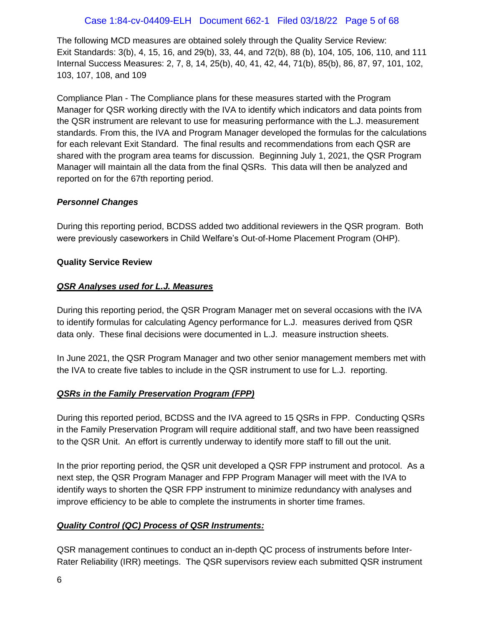## Case 1:84-cv-04409-ELH Document 662-1 Filed 03/18/22 Page 5 of 68

The following MCD measures are obtained solely through the Quality Service Review: Exit Standards: 3(b), 4, 15, 16, and 29(b), 33, 44, and 72(b), 88 (b), 104, 105, 106, 110, and 111 Internal Success Measures: 2, 7, 8, 14, 25(b), 40, 41, 42, 44, 71(b), 85(b), 86, 87, 97, 101, 102, 103, 107, 108, and 109

Compliance Plan - The Compliance plans for these measures started with the Program Manager for QSR working directly with the IVA to identify which indicators and data points from the QSR instrument are relevant to use for measuring performance with the L.J. measurement standards. From this, the IVA and Program Manager developed the formulas for the calculations for each relevant Exit Standard. The final results and recommendations from each QSR are shared with the program area teams for discussion. Beginning July 1, 2021, the QSR Program Manager will maintain all the data from the final QSRs. This data will then be analyzed and reported on for the 67th reporting period.

#### *Personnel Changes*

During this reporting period, BCDSS added two additional reviewers in the QSR program. Both were previously caseworkers in Child Welfare's Out-of-Home Placement Program (OHP).

#### **Quality Service Review**

#### *QSR Analyses used for L.J. Measures*

During this reporting period, the QSR Program Manager met on several occasions with the IVA to identify formulas for calculating Agency performance for L.J. measures derived from QSR data only. These final decisions were documented in L.J. measure instruction sheets.

In June 2021, the QSR Program Manager and two other senior management members met with the IVA to create five tables to include in the QSR instrument to use for L.J. reporting.

## *QSRs in the Family Preservation Program (FPP)*

During this reported period, BCDSS and the IVA agreed to 15 QSRs in FPP. Conducting QSRs in the Family Preservation Program will require additional staff, and two have been reassigned to the QSR Unit. An effort is currently underway to identify more staff to fill out the unit.

In the prior reporting period, the QSR unit developed a QSR FPP instrument and protocol. As a next step, the QSR Program Manager and FPP Program Manager will meet with the IVA to identify ways to shorten the QSR FPP instrument to minimize redundancy with analyses and improve efficiency to be able to complete the instruments in shorter time frames.

## *Quality Control (QC) Process of QSR Instruments:*

QSR management continues to conduct an in-depth QC process of instruments before Inter-Rater Reliability (IRR) meetings. The QSR supervisors review each submitted QSR instrument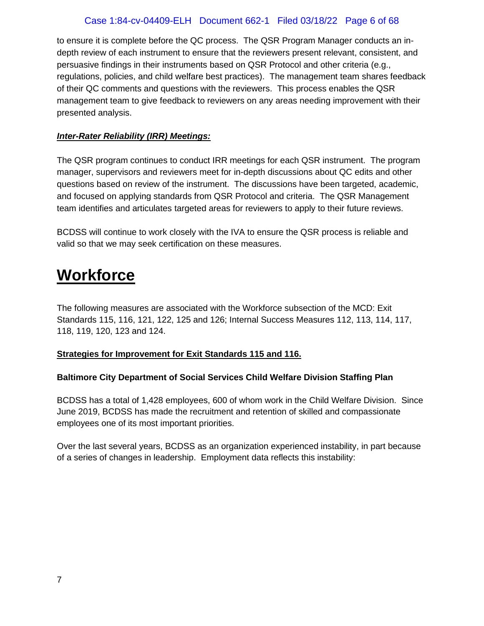## Case 1:84-cv-04409-ELH Document 662-1 Filed 03/18/22 Page 6 of 68

to ensure it is complete before the QC process. The QSR Program Manager conducts an indepth review of each instrument to ensure that the reviewers present relevant, consistent, and persuasive findings in their instruments based on QSR Protocol and other criteria (e.g., regulations, policies, and child welfare best practices). The management team shares feedback of their QC comments and questions with the reviewers. This process enables the QSR management team to give feedback to reviewers on any areas needing improvement with their presented analysis.

### *Inter-Rater Reliability (IRR) Meetings:*

The QSR program continues to conduct IRR meetings for each QSR instrument. The program manager, supervisors and reviewers meet for in-depth discussions about QC edits and other questions based on review of the instrument. The discussions have been targeted, academic, and focused on applying standards from QSR Protocol and criteria. The QSR Management team identifies and articulates targeted areas for reviewers to apply to their future reviews.

BCDSS will continue to work closely with the IVA to ensure the QSR process is reliable and valid so that we may seek certification on these measures.

# <span id="page-5-0"></span>**Workforce**

The following measures are associated with the Workforce subsection of the MCD: Exit Standards 115, 116, 121, 122, 125 and 126; Internal Success Measures 112, 113, 114, 117, 118, 119, 120, 123 and 124.

## **Strategies for Improvement for Exit Standards 115 and 116.**

## **Baltimore City Department of Social Services Child Welfare Division Staffing Plan**

BCDSS has a total of 1,428 employees, 600 of whom work in the Child Welfare Division. Since June 2019, BCDSS has made the recruitment and retention of skilled and compassionate employees one of its most important priorities.

Over the last several years, BCDSS as an organization experienced instability, in part because of a series of changes in leadership. Employment data reflects this instability: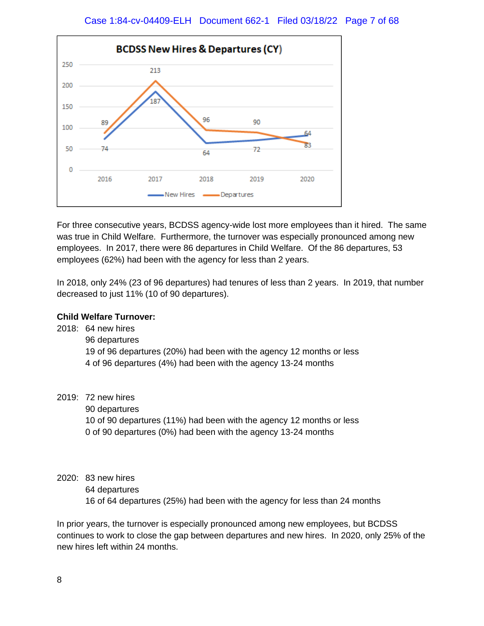

For three consecutive years, BCDSS agency-wide lost more employees than it hired. The same was true in Child Welfare. Furthermore, the turnover was especially pronounced among new employees. In 2017, there were 86 departures in Child Welfare. Of the 86 departures, 53 employees (62%) had been with the agency for less than 2 years.

In 2018, only 24% (23 of 96 departures) had tenures of less than 2 years. In 2019, that number decreased to just 11% (10 of 90 departures).

### **Child Welfare Turnover:**

2018: 64 new hires 96 departures 19 of 96 departures (20%) had been with the agency 12 months or less 4 of 96 departures (4%) had been with the agency 13-24 months

2019: 72 new hires

90 departures

10 of 90 departures (11%) had been with the agency 12 months or less 0 of 90 departures (0%) had been with the agency 13-24 months

- 2020: 83 new hires
	- 64 departures

16 of 64 departures (25%) had been with the agency for less than 24 months

In prior years, the turnover is especially pronounced among new employees, but BCDSS continues to work to close the gap between departures and new hires. In 2020, only 25% of the new hires left within 24 months.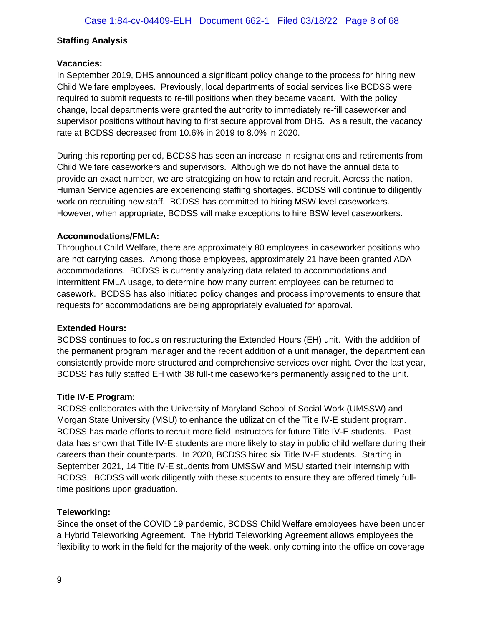#### **Staffing Analysis**

#### **Vacancies:**

In September 2019, DHS announced a significant policy change to the process for hiring new Child Welfare employees. Previously, local departments of social services like BCDSS were required to submit requests to re-fill positions when they became vacant. With the policy change, local departments were granted the authority to immediately re-fill caseworker and supervisor positions without having to first secure approval from DHS. As a result, the vacancy rate at BCDSS decreased from 10.6% in 2019 to 8.0% in 2020.

During this reporting period, BCDSS has seen an increase in resignations and retirements from Child Welfare caseworkers and supervisors. Although we do not have the annual data to provide an exact number, we are strategizing on how to retain and recruit. Across the nation, Human Service agencies are experiencing staffing shortages. BCDSS will continue to diligently work on recruiting new staff. BCDSS has committed to hiring MSW level caseworkers. However, when appropriate, BCDSS will make exceptions to hire BSW level caseworkers.

#### **Accommodations/FMLA:**

Throughout Child Welfare, there are approximately 80 employees in caseworker positions who are not carrying cases. Among those employees, approximately 21 have been granted ADA accommodations. BCDSS is currently analyzing data related to accommodations and intermittent FMLA usage, to determine how many current employees can be returned to casework. BCDSS has also initiated policy changes and process improvements to ensure that requests for accommodations are being appropriately evaluated for approval.

#### **Extended Hours:**

BCDSS continues to focus on restructuring the Extended Hours (EH) unit. With the addition of the permanent program manager and the recent addition of a unit manager, the department can consistently provide more structured and comprehensive services over night. Over the last year, BCDSS has fully staffed EH with 38 full-time caseworkers permanently assigned to the unit.

#### **Title IV-E Program:**

BCDSS collaborates with the University of Maryland School of Social Work (UMSSW) and Morgan State University (MSU) to enhance the utilization of the Title IV-E student program. BCDSS has made efforts to recruit more field instructors for future Title IV-E students. Past data has shown that Title IV-E students are more likely to stay in public child welfare during their careers than their counterparts. In 2020, BCDSS hired six Title IV-E students. Starting in September 2021, 14 Title IV-E students from UMSSW and MSU started their internship with BCDSS. BCDSS will work diligently with these students to ensure they are offered timely fulltime positions upon graduation.

#### **Teleworking:**

Since the onset of the COVID 19 pandemic, BCDSS Child Welfare employees have been under a Hybrid Teleworking Agreement. The Hybrid Teleworking Agreement allows employees the flexibility to work in the field for the majority of the week, only coming into the office on coverage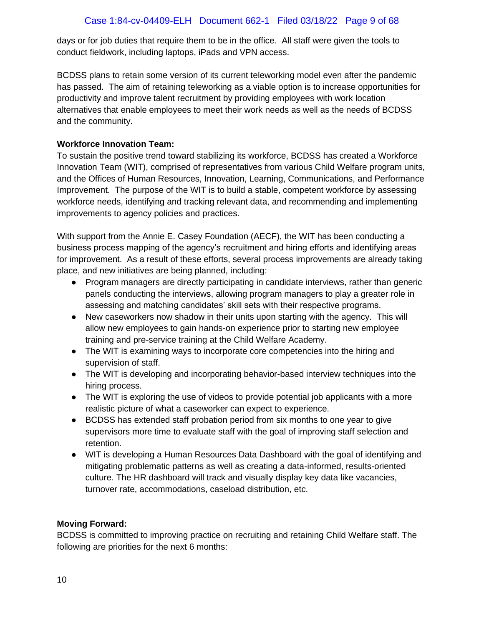## Case 1:84-cv-04409-ELH Document 662-1 Filed 03/18/22 Page 9 of 68

days or for job duties that require them to be in the office. All staff were given the tools to conduct fieldwork, including laptops, iPads and VPN access.

BCDSS plans to retain some version of its current teleworking model even after the pandemic has passed. The aim of retaining teleworking as a viable option is to increase opportunities for productivity and improve talent recruitment by providing employees with work location alternatives that enable employees to meet their work needs as well as the needs of BCDSS and the community.

### **Workforce Innovation Team:**

To sustain the positive trend toward stabilizing its workforce, BCDSS has created a Workforce Innovation Team (WIT), comprised of representatives from various Child Welfare program units, and the Offices of Human Resources, Innovation, Learning, Communications, and Performance Improvement. The purpose of the WIT is to build a stable, competent workforce by assessing workforce needs, identifying and tracking relevant data, and recommending and implementing improvements to agency policies and practices.

With support from the Annie E. Casey Foundation (AECF), the WIT has been conducting a business process mapping of the agency's recruitment and hiring efforts and identifying areas for improvement. As a result of these efforts, several process improvements are already taking place, and new initiatives are being planned, including:

- Program managers are directly participating in candidate interviews, rather than generic panels conducting the interviews, allowing program managers to play a greater role in assessing and matching candidates' skill sets with their respective programs.
- New caseworkers now shadow in their units upon starting with the agency. This will allow new employees to gain hands-on experience prior to starting new employee training and pre-service training at the Child Welfare Academy.
- The WIT is examining ways to incorporate core competencies into the hiring and supervision of staff.
- The WIT is developing and incorporating behavior-based interview techniques into the hiring process.
- The WIT is exploring the use of videos to provide potential job applicants with a more realistic picture of what a caseworker can expect to experience.
- BCDSS has extended staff probation period from six months to one year to give supervisors more time to evaluate staff with the goal of improving staff selection and retention.
- WIT is developing a Human Resources Data Dashboard with the goal of identifying and mitigating problematic patterns as well as creating a data-informed, results-oriented culture. The HR dashboard will track and visually display key data like vacancies, turnover rate, accommodations, caseload distribution, etc.

## **Moving Forward:**

BCDSS is committed to improving practice on recruiting and retaining Child Welfare staff. The following are priorities for the next 6 months: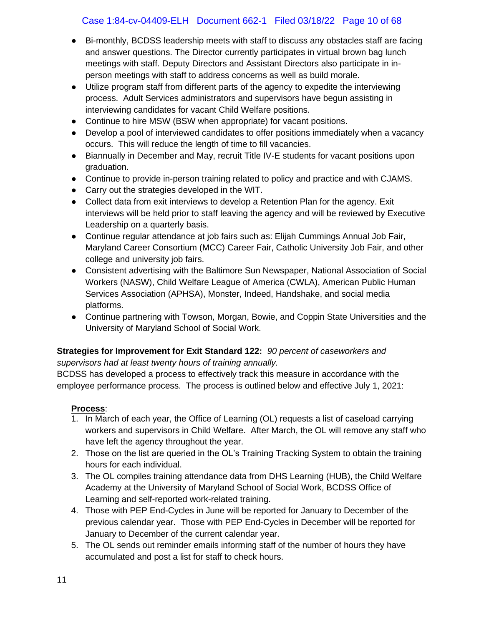## Case 1:84-cv-04409-ELH Document 662-1 Filed 03/18/22 Page 10 of 68

- Bi-monthly, BCDSS leadership meets with staff to discuss any obstacles staff are facing and answer questions. The Director currently participates in virtual brown bag lunch meetings with staff. Deputy Directors and Assistant Directors also participate in inperson meetings with staff to address concerns as well as build morale.
- Utilize program staff from different parts of the agency to expedite the interviewing process. Adult Services administrators and supervisors have begun assisting in interviewing candidates for vacant Child Welfare positions.
- Continue to hire MSW (BSW when appropriate) for vacant positions.
- Develop a pool of interviewed candidates to offer positions immediately when a vacancy occurs. This will reduce the length of time to fill vacancies.
- Biannually in December and May, recruit Title IV-E students for vacant positions upon graduation.
- Continue to provide in-person training related to policy and practice and with CJAMS.
- Carry out the strategies developed in the WIT.
- Collect data from exit interviews to develop a Retention Plan for the agency. Exit interviews will be held prior to staff leaving the agency and will be reviewed by Executive Leadership on a quarterly basis.
- Continue regular attendance at job fairs such as: Elijah Cummings Annual Job Fair, Maryland Career Consortium (MCC) Career Fair, Catholic University Job Fair, and other college and university job fairs.
- Consistent advertising with the Baltimore Sun Newspaper, National Association of Social Workers (NASW), Child Welfare League of America (CWLA), American Public Human Services Association (APHSA), Monster, Indeed, Handshake, and social media platforms.
- Continue partnering with Towson, Morgan, Bowie, and Coppin State Universities and the University of Maryland School of Social Work.

#### **Strategies for Improvement for Exit Standard 122:** *90 percent of caseworkers and supervisors had at least twenty hours of training annually.*

BCDSS has developed a process to effectively track this measure in accordance with the employee performance process. The process is outlined below and effective July 1, 2021:

## **Process**:

- 1. In March of each year, the Office of Learning (OL) requests a list of caseload carrying workers and supervisors in Child Welfare. After March, the OL will remove any staff who have left the agency throughout the year.
- 2. Those on the list are queried in the OL's Training Tracking System to obtain the training hours for each individual.
- 3. The OL compiles training attendance data from DHS Learning (HUB), the Child Welfare Academy at the University of Maryland School of Social Work, BCDSS Office of Learning and self-reported work-related training.
- 4. Those with PEP End-Cycles in June will be reported for January to December of the previous calendar year. Those with PEP End-Cycles in December will be reported for January to December of the current calendar year.
- 5. The OL sends out reminder emails informing staff of the number of hours they have accumulated and post a list for staff to check hours.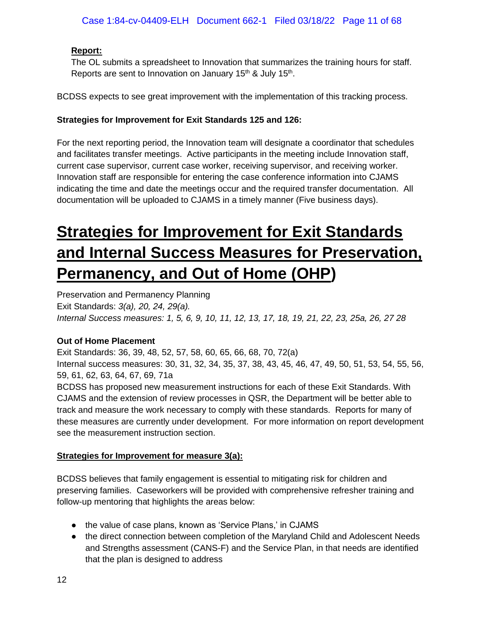## **Report:**

The OL submits a spreadsheet to Innovation that summarizes the training hours for staff. Reports are sent to Innovation on January 15<sup>th</sup> & July 15<sup>th</sup>.

BCDSS expects to see great improvement with the implementation of this tracking process.

## **Strategies for Improvement for Exit Standards 125 and 126:**

For the next reporting period, the Innovation team will designate a coordinator that schedules and facilitates transfer meetings. Active participants in the meeting include Innovation staff, current case supervisor, current case worker, receiving supervisor, and receiving worker. Innovation staff are responsible for entering the case conference information into CJAMS indicating the time and date the meetings occur and the required transfer documentation. All documentation will be uploaded to CJAMS in a timely manner (Five business days).

# <span id="page-10-0"></span>**Strategies for Improvement for Exit Standards and Internal Success Measures for Preservation, Permanency, and Out of Home (OHP)**

Preservation and Permanency Planning Exit Standards: *3(a), 20, 24, 29(a). Internal Success measures: 1, 5, 6, 9, 10, 11, 12, 13, 17, 18, 19, 21, 22, 23, 25a, 26, 27 28*

## **Out of Home Placement**

Exit Standards: 36, 39, 48, 52, 57, 58, 60, 65, 66, 68, 70, 72(a)

Internal success measures: 30, 31, 32, 34, 35, 37, 38, 43, 45, 46, 47, 49, 50, 51, 53, 54, 55, 56, 59, 61, 62, 63, 64, 67, 69, 71a

BCDSS has proposed new measurement instructions for each of these Exit Standards. With CJAMS and the extension of review processes in QSR, the Department will be better able to track and measure the work necessary to comply with these standards. Reports for many of these measures are currently under development. For more information on report development see the measurement instruction section.

## **Strategies for Improvement for measure 3(a):**

BCDSS believes that family engagement is essential to mitigating risk for children and preserving families. Caseworkers will be provided with comprehensive refresher training and follow-up mentoring that highlights the areas below:

- the value of case plans, known as 'Service Plans,' in CJAMS
- the direct connection between completion of the Maryland Child and Adolescent Needs and Strengths assessment (CANS-F) and the Service Plan, in that needs are identified that the plan is designed to address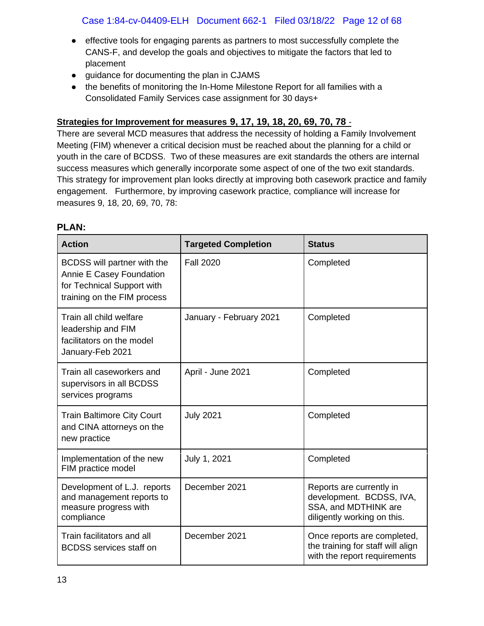- effective tools for engaging parents as partners to most successfully complete the CANS-F, and develop the goals and objectives to mitigate the factors that led to placement
- guidance for documenting the plan in CJAMS
- the benefits of monitoring the In-Home Milestone Report for all families with a Consolidated Family Services case assignment for 30 days+

## **Strategies for Improvement for measures 9, 17, 19, 18, 20, 69, 70, 78** -

There are several MCD measures that address the necessity of holding a Family Involvement Meeting (FIM) whenever a critical decision must be reached about the planning for a child or youth in the care of BCDSS. Two of these measures are exit standards the others are internal success measures which generally incorporate some aspect of one of the two exit standards. This strategy for improvement plan looks directly at improving both casework practice and family engagement. Furthermore, by improving casework practice, compliance will increase for measures 9, 18, 20, 69, 70, 78:

| <b>Action</b>                                                                                                        | <b>Targeted Completion</b> | <b>Status</b>                                                                                               |
|----------------------------------------------------------------------------------------------------------------------|----------------------------|-------------------------------------------------------------------------------------------------------------|
| BCDSS will partner with the<br>Annie E Casey Foundation<br>for Technical Support with<br>training on the FIM process | <b>Fall 2020</b>           | Completed                                                                                                   |
| Train all child welfare<br>leadership and FIM<br>facilitators on the model<br>January-Feb 2021                       | January - February 2021    | Completed                                                                                                   |
| Train all caseworkers and<br>supervisors in all BCDSS<br>services programs                                           | April - June 2021          | Completed                                                                                                   |
| <b>Train Baltimore City Court</b><br>and CINA attorneys on the<br>new practice                                       | <b>July 2021</b>           | Completed                                                                                                   |
| Implementation of the new<br>FIM practice model                                                                      | July 1, 2021               | Completed                                                                                                   |
| Development of L.J. reports<br>and management reports to<br>measure progress with<br>compliance                      | December 2021              | Reports are currently in<br>development. BCDSS, IVA,<br>SSA, and MDTHINK are<br>diligently working on this. |
| Train facilitators and all<br><b>BCDSS</b> services staff on                                                         | December 2021              | Once reports are completed,<br>the training for staff will align<br>with the report requirements            |

#### **PLAN:**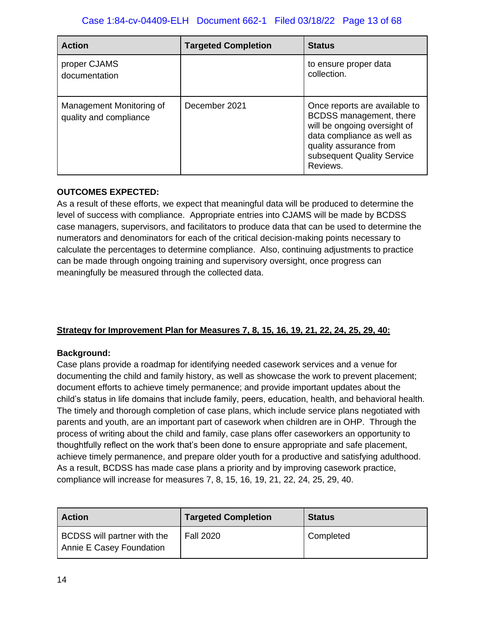| <b>Action</b>                                      | <b>Targeted Completion</b> | <b>Status</b>                                                                                                                                                                              |
|----------------------------------------------------|----------------------------|--------------------------------------------------------------------------------------------------------------------------------------------------------------------------------------------|
| proper CJAMS<br>documentation                      |                            | to ensure proper data<br>collection.                                                                                                                                                       |
| Management Monitoring of<br>quality and compliance | December 2021              | Once reports are available to<br>BCDSS management, there<br>will be ongoing oversight of<br>data compliance as well as<br>quality assurance from<br>subsequent Quality Service<br>Reviews. |

## **OUTCOMES EXPECTED:**

As a result of these efforts, we expect that meaningful data will be produced to determine the level of success with compliance. Appropriate entries into CJAMS will be made by BCDSS case managers, supervisors, and facilitators to produce data that can be used to determine the numerators and denominators for each of the critical decision-making points necessary to calculate the percentages to determine compliance. Also, continuing adjustments to practice can be made through ongoing training and supervisory oversight, once progress can meaningfully be measured through the collected data.

## **Strategy for Improvement Plan for Measures 7, 8, 15, 16, 19, 21, 22, 24, 25, 29, 40:**

## **Background:**

Case plans provide a roadmap for identifying needed casework services and a venue for documenting the child and family history, as well as showcase the work to prevent placement; document efforts to achieve timely permanence; and provide important updates about the child's status in life domains that include family, peers, education, health, and behavioral health. The timely and thorough completion of case plans, which include service plans negotiated with parents and youth, are an important part of casework when children are in OHP. Through the process of writing about the child and family, case plans offer caseworkers an opportunity to thoughtfully reflect on the work that's been done to ensure appropriate and safe placement, achieve timely permanence, and prepare older youth for a productive and satisfying adulthood. As a result, BCDSS has made case plans a priority and by improving casework practice, compliance will increase for measures 7, 8, 15, 16, 19, 21, 22, 24, 25, 29, 40.

| l Action                                                | <b>Targeted Completion</b> | <b>Status</b> |
|---------------------------------------------------------|----------------------------|---------------|
| BCDSS will partner with the<br>Annie E Casey Foundation | <b>Fall 2020</b>           | Completed     |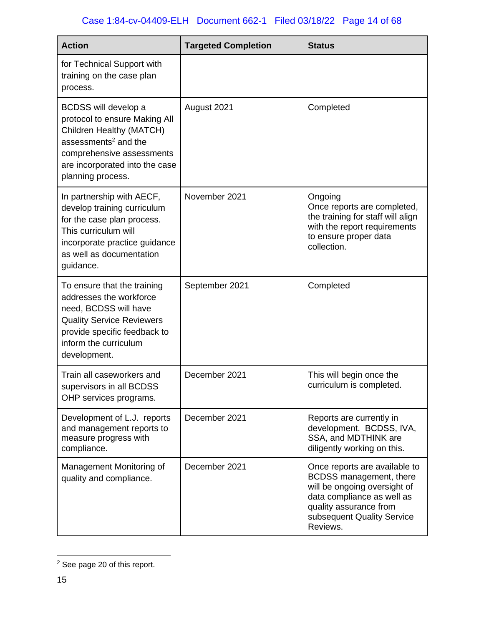| <b>Action</b>                                                                                                                                                                                             | <b>Targeted Completion</b> | <b>Status</b>                                                                                                                                                                              |
|-----------------------------------------------------------------------------------------------------------------------------------------------------------------------------------------------------------|----------------------------|--------------------------------------------------------------------------------------------------------------------------------------------------------------------------------------------|
| for Technical Support with<br>training on the case plan<br>process.                                                                                                                                       |                            |                                                                                                                                                                                            |
| BCDSS will develop a<br>protocol to ensure Making All<br>Children Healthy (MATCH)<br>assessments <sup>2</sup> and the<br>comprehensive assessments<br>are incorporated into the case<br>planning process. | August 2021                | Completed                                                                                                                                                                                  |
| In partnership with AECF,<br>develop training curriculum<br>for the case plan process.<br>This curriculum will<br>incorporate practice guidance<br>as well as documentation<br>guidance.                  | November 2021              | Ongoing<br>Once reports are completed,<br>the training for staff will align<br>with the report requirements<br>to ensure proper data<br>collection.                                        |
| To ensure that the training<br>addresses the workforce<br>need, BCDSS will have<br><b>Quality Service Reviewers</b><br>provide specific feedback to<br>inform the curriculum<br>development.              | September 2021             | Completed                                                                                                                                                                                  |
| Train all caseworkers and<br>supervisors in all BCDSS<br>OHP services programs.                                                                                                                           | December 2021              | This will begin once the<br>curriculum is completed.                                                                                                                                       |
| Development of L.J. reports<br>and management reports to<br>measure progress with<br>compliance.                                                                                                          | December 2021              | Reports are currently in<br>development. BCDSS, IVA,<br>SSA, and MDTHINK are<br>diligently working on this.                                                                                |
| Management Monitoring of<br>quality and compliance.                                                                                                                                                       | December 2021              | Once reports are available to<br>BCDSS management, there<br>will be ongoing oversight of<br>data compliance as well as<br>quality assurance from<br>subsequent Quality Service<br>Reviews. |

<sup>2</sup> See page 20 of this report.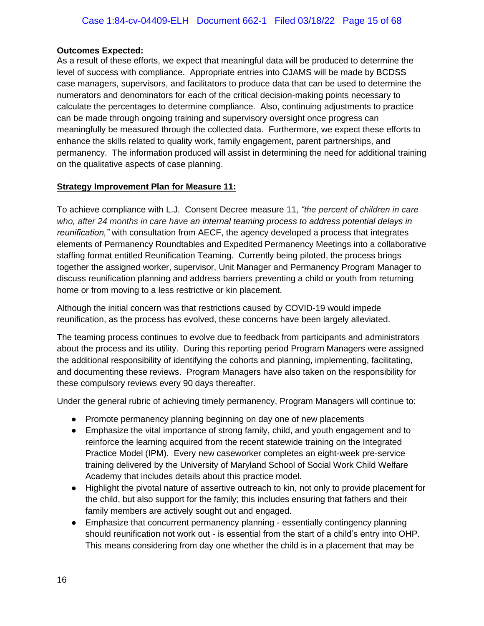### **Outcomes Expected:**

As a result of these efforts, we expect that meaningful data will be produced to determine the level of success with compliance. Appropriate entries into CJAMS will be made by BCDSS case managers, supervisors, and facilitators to produce data that can be used to determine the numerators and denominators for each of the critical decision-making points necessary to calculate the percentages to determine compliance. Also, continuing adjustments to practice can be made through ongoing training and supervisory oversight once progress can meaningfully be measured through the collected data. Furthermore, we expect these efforts to enhance the skills related to quality work, family engagement, parent partnerships, and permanency. The information produced will assist in determining the need for additional training on the qualitative aspects of case planning.

#### **Strategy Improvement Plan for Measure 11:**

To achieve compliance with L.J. Consent Decree measure 11, *"the percent of children in care who, after 24 months in care have an internal teaming process to address potential delays in reunification,"* with consultation from AECF, the agency developed a process that integrates elements of Permanency Roundtables and Expedited Permanency Meetings into a collaborative staffing format entitled Reunification Teaming. Currently being piloted, the process brings together the assigned worker, supervisor, Unit Manager and Permanency Program Manager to discuss reunification planning and address barriers preventing a child or youth from returning home or from moving to a less restrictive or kin placement.

Although the initial concern was that restrictions caused by COVID-19 would impede reunification, as the process has evolved, these concerns have been largely alleviated.

The teaming process continues to evolve due to feedback from participants and administrators about the process and its utility. During this reporting period Program Managers were assigned the additional responsibility of identifying the cohorts and planning, implementing, facilitating, and documenting these reviews. Program Managers have also taken on the responsibility for these compulsory reviews every 90 days thereafter.

Under the general rubric of achieving timely permanency, Program Managers will continue to:

- Promote permanency planning beginning on day one of new placements
- Emphasize the vital importance of strong family, child, and youth engagement and to reinforce the learning acquired from the recent statewide training on the Integrated Practice Model (IPM). Every new caseworker completes an eight-week pre-service training delivered by the University of Maryland School of Social Work Child Welfare Academy that includes details about this practice model.
- Highlight the pivotal nature of assertive outreach to kin, not only to provide placement for the child, but also support for the family; this includes ensuring that fathers and their family members are actively sought out and engaged.
- Emphasize that concurrent permanency planning essentially contingency planning should reunification not work out - is essential from the start of a child's entry into OHP. This means considering from day one whether the child is in a placement that may be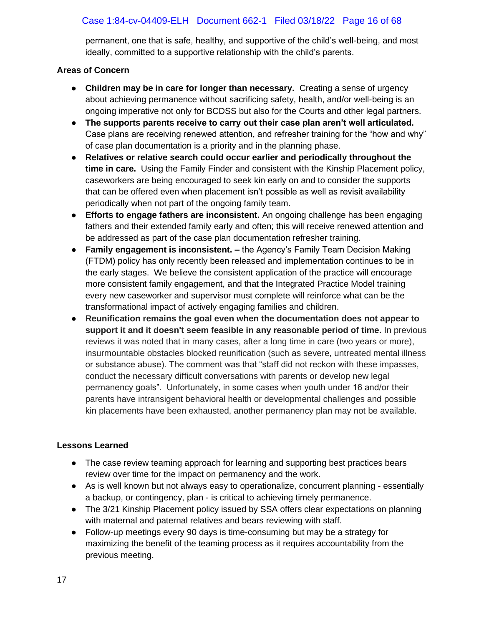## Case 1:84-cv-04409-ELH Document 662-1 Filed 03/18/22 Page 16 of 68

permanent, one that is safe, healthy, and supportive of the child's well-being, and most ideally, committed to a supportive relationship with the child's parents.

### **Areas of Concern**

- **Children may be in care for longer than necessary.** Creating a sense of urgency about achieving permanence without sacrificing safety, health, and/or well-being is an ongoing imperative not only for BCDSS but also for the Courts and other legal partners.
- **The supports parents receive to carry out their case plan aren't well articulated.**  Case plans are receiving renewed attention, and refresher training for the "how and why" of case plan documentation is a priority and in the planning phase.
- **Relatives or relative search could occur earlier and periodically throughout the time in care.** Using the Family Finder and consistent with the Kinship Placement policy, caseworkers are being encouraged to seek kin early on and to consider the supports that can be offered even when placement isn't possible as well as revisit availability periodically when not part of the ongoing family team.
- **Efforts to engage fathers are inconsistent.** An ongoing challenge has been engaging fathers and their extended family early and often; this will receive renewed attention and be addressed as part of the case plan documentation refresher training.
- **Family engagement is inconsistent. –** the Agency's Family Team Decision Making (FTDM) policy has only recently been released and implementation continues to be in the early stages. We believe the consistent application of the practice will encourage more consistent family engagement, and that the Integrated Practice Model training every new caseworker and supervisor must complete will reinforce what can be the transformational impact of actively engaging families and children.
- **Reunification remains the goal even when the documentation does not appear to support it and it doesn't seem feasible in any reasonable period of time.** In previous reviews it was noted that in many cases, after a long time in care (two years or more), insurmountable obstacles blocked reunification (such as severe, untreated mental illness or substance abuse). The comment was that "staff did not reckon with these impasses, conduct the necessary difficult conversations with parents or develop new legal permanency goals". Unfortunately, in some cases when youth under 16 and/or their parents have intransigent behavioral health or developmental challenges and possible kin placements have been exhausted, another permanency plan may not be available.

## **Lessons Learned**

- The case review teaming approach for learning and supporting best practices bears review over time for the impact on permanency and the work.
- As is well known but not always easy to operationalize, concurrent planning essentially a backup, or contingency, plan - is critical to achieving timely permanence.
- The 3/21 Kinship Placement policy issued by SSA offers clear expectations on planning with maternal and paternal relatives and bears reviewing with staff.
- Follow-up meetings every 90 days is time-consuming but may be a strategy for maximizing the benefit of the teaming process as it requires accountability from the previous meeting.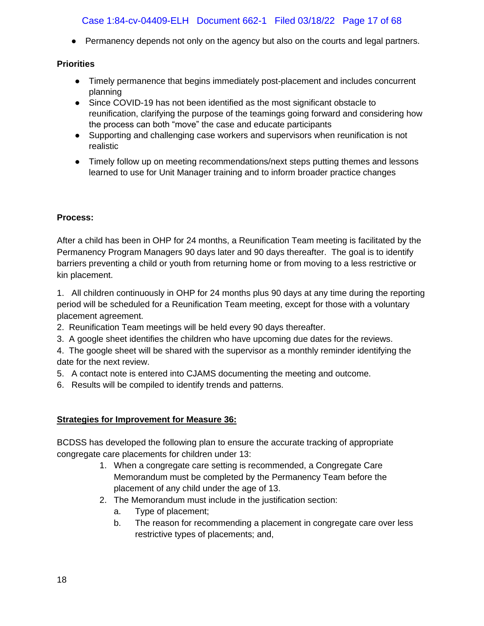## Case 1:84-cv-04409-ELH Document 662-1 Filed 03/18/22 Page 17 of 68

• Permanency depends not only on the agency but also on the courts and legal partners.

## **Priorities**

- Timely permanence that begins immediately post-placement and includes concurrent planning
- Since COVID-19 has not been identified as the most significant obstacle to reunification, clarifying the purpose of the teamings going forward and considering how the process can both "move" the case and educate participants
- Supporting and challenging case workers and supervisors when reunification is not realistic
- Timely follow up on meeting recommendations/next steps putting themes and lessons learned to use for Unit Manager training and to inform broader practice changes

## **Process:**

After a child has been in OHP for 24 months, a Reunification Team meeting is facilitated by the Permanency Program Managers 90 days later and 90 days thereafter. The goal is to identify barriers preventing a child or youth from returning home or from moving to a less restrictive or kin placement.

1. All children continuously in OHP for 24 months plus 90 days at any time during the reporting period will be scheduled for a Reunification Team meeting, except for those with a voluntary placement agreement.

- 2. Reunification Team meetings will be held every 90 days thereafter.
- 3. A google sheet identifies the children who have upcoming due dates for the reviews.
- 4. The google sheet will be shared with the supervisor as a monthly reminder identifying the date for the next review.
- 5. A contact note is entered into CJAMS documenting the meeting and outcome.
- 6. Results will be compiled to identify trends and patterns.

## **Strategies for Improvement for Measure 36:**

BCDSS has developed the following plan to ensure the accurate tracking of appropriate congregate care placements for children under 13:

- 1. When a congregate care setting is recommended, a Congregate Care Memorandum must be completed by the Permanency Team before the placement of any child under the age of 13.
- 2. The Memorandum must include in the justification section:
	- a. Type of placement;
	- b. The reason for recommending a placement in congregate care over less restrictive types of placements; and,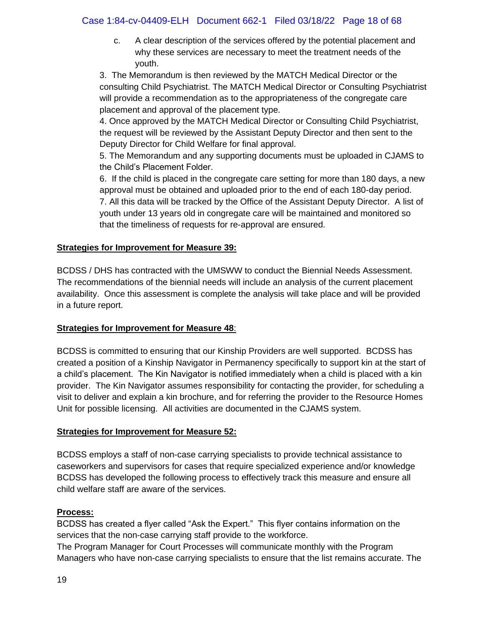## Case 1:84-cv-04409-ELH Document 662-1 Filed 03/18/22 Page 18 of 68

c. A clear description of the services offered by the potential placement and why these services are necessary to meet the treatment needs of the youth.

3. The Memorandum is then reviewed by the MATCH Medical Director or the consulting Child Psychiatrist. The MATCH Medical Director or Consulting Psychiatrist will provide a recommendation as to the appropriateness of the congregate care placement and approval of the placement type.

4. Once approved by the MATCH Medical Director or Consulting Child Psychiatrist, the request will be reviewed by the Assistant Deputy Director and then sent to the Deputy Director for Child Welfare for final approval.

5. The Memorandum and any supporting documents must be uploaded in CJAMS to the Child's Placement Folder.

6. If the child is placed in the congregate care setting for more than 180 days, a new approval must be obtained and uploaded prior to the end of each 180-day period. 7. All this data will be tracked by the Office of the Assistant Deputy Director. A list of youth under 13 years old in congregate care will be maintained and monitored so that the timeliness of requests for re-approval are ensured.

#### **Strategies for Improvement for Measure 39:**

BCDSS / DHS has contracted with the UMSWW to conduct the Biennial Needs Assessment. The recommendations of the biennial needs will include an analysis of the current placement availability. Once this assessment is complete the analysis will take place and will be provided in a future report.

#### **Strategies for Improvement for Measure 48**:

BCDSS is committed to ensuring that our Kinship Providers are well supported. BCDSS has created a position of a Kinship Navigator in Permanency specifically to support kin at the start of a child's placement. The Kin Navigator is notified immediately when a child is placed with a kin provider. The Kin Navigator assumes responsibility for contacting the provider, for scheduling a visit to deliver and explain a kin brochure, and for referring the provider to the Resource Homes Unit for possible licensing. All activities are documented in the CJAMS system.

#### **Strategies for Improvement for Measure 52:**

BCDSS employs a staff of non-case carrying specialists to provide technical assistance to caseworkers and supervisors for cases that require specialized experience and/or knowledge BCDSS has developed the following process to effectively track this measure and ensure all child welfare staff are aware of the services.

#### **Process:**

BCDSS has created a flyer called "Ask the Expert." This flyer contains information on the services that the non-case carrying staff provide to the workforce.

The Program Manager for Court Processes will communicate monthly with the Program Managers who have non-case carrying specialists to ensure that the list remains accurate. The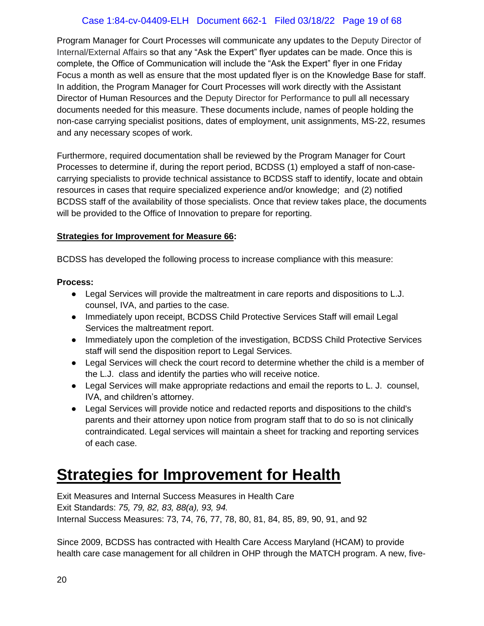## Case 1:84-cv-04409-ELH Document 662-1 Filed 03/18/22 Page 19 of 68

Program Manager for Court Processes will communicate any updates to the Deputy Director of Internal/External Affairs so that any "Ask the Expert" flyer updates can be made. Once this is complete, the Office of Communication will include the "Ask the Expert" flyer in one Friday Focus a month as well as ensure that the most updated flyer is on the Knowledge Base for staff. In addition, the Program Manager for Court Processes will work directly with the Assistant Director of Human Resources and the Deputy Director for Performance to pull all necessary documents needed for this measure. These documents include, names of people holding the non-case carrying specialist positions, dates of employment, unit assignments, MS-22, resumes and any necessary scopes of work.

Furthermore, required documentation shall be reviewed by the Program Manager for Court Processes to determine if, during the report period, BCDSS (1) employed a staff of non-casecarrying specialists to provide technical assistance to BCDSS staff to identify, locate and obtain resources in cases that require specialized experience and/or knowledge; and (2) notified BCDSS staff of the availability of those specialists. Once that review takes place, the documents will be provided to the Office of Innovation to prepare for reporting.

## **Strategies for Improvement for Measure 66:**

BCDSS has developed the following process to increase compliance with this measure:

#### **Process:**

- Legal Services will provide the maltreatment in care reports and dispositions to L.J. counsel, IVA, and parties to the case.
- Immediately upon receipt, BCDSS Child Protective Services Staff will email Legal Services the maltreatment report.
- Immediately upon the completion of the investigation, BCDSS Child Protective Services staff will send the disposition report to Legal Services.
- Legal Services will check the court record to determine whether the child is a member of the L.J. class and identify the parties who will receive notice.
- Legal Services will make appropriate redactions and email the reports to L. J. counsel, IVA, and children's attorney.
- Legal Services will provide notice and redacted reports and dispositions to the child's parents and their attorney upon notice from program staff that to do so is not clinically contraindicated. Legal services will maintain a sheet for tracking and reporting services of each case.

# <span id="page-18-0"></span>**Strategies for Improvement for Health**

Exit Measures and Internal Success Measures in Health Care Exit Standards: *75, 79, 82, 83, 88(a), 93, 94.* Internal Success Measures: 73, 74, 76, 77, 78, 80, 81, 84, 85, 89, 90, 91, and 92

Since 2009, BCDSS has contracted with Health Care Access Maryland (HCAM) to provide health care case management for all children in OHP through the MATCH program. A new, five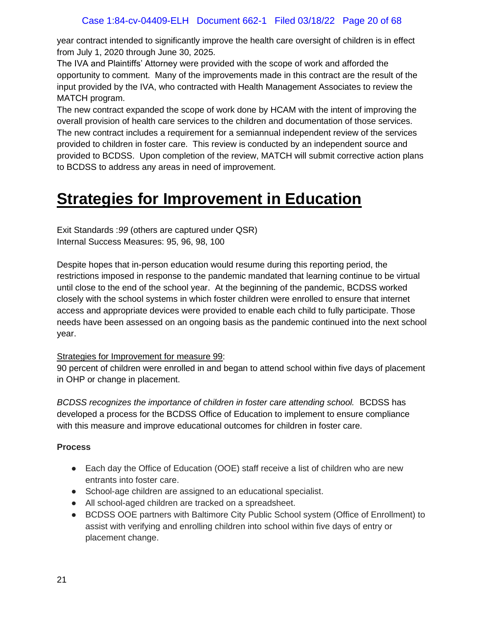year contract intended to significantly improve the health care oversight of children is in effect from July 1, 2020 through June 30, 2025.

The IVA and Plaintiffs' Attorney were provided with the scope of work and afforded the opportunity to comment. Many of the improvements made in this contract are the result of the input provided by the IVA, who contracted with Health Management Associates to review the MATCH program.

The new contract expanded the scope of work done by HCAM with the intent of improving the overall provision of health care services to the children and documentation of those services. The new contract includes a requirement for a semiannual independent review of the services provided to children in foster care. This review is conducted by an independent source and provided to BCDSS. Upon completion of the review, MATCH will submit corrective action plans to BCDSS to address any areas in need of improvement.

# <span id="page-19-0"></span>**Strategies for Improvement in Education**

Exit Standards :*99* (others are captured under QSR) Internal Success Measures: 95, 96, 98, 100

Despite hopes that in-person education would resume during this reporting period, the restrictions imposed in response to the pandemic mandated that learning continue to be virtual until close to the end of the school year. At the beginning of the pandemic, BCDSS worked closely with the school systems in which foster children were enrolled to ensure that internet access and appropriate devices were provided to enable each child to fully participate. Those needs have been assessed on an ongoing basis as the pandemic continued into the next school year.

## Strategies for Improvement for measure 99:

90 percent of children were enrolled in and began to attend school within five days of placement in OHP or change in placement.

*BCDSS recognizes the importance of children in foster care attending school.* BCDSS has developed a process for the BCDSS Office of Education to implement to ensure compliance with this measure and improve educational outcomes for children in foster care.

## **Process**

- Each day the Office of Education (OOE) staff receive a list of children who are new entrants into foster care.
- School-age children are assigned to an educational specialist.
- All school-aged children are tracked on a spreadsheet.
- BCDSS OOE partners with Baltimore City Public School system (Office of Enrollment) to assist with verifying and enrolling children into school within five days of entry or placement change.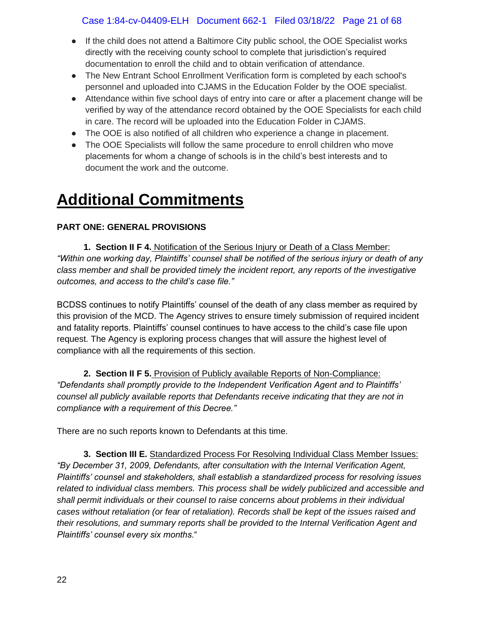## Case 1:84-cv-04409-ELH Document 662-1 Filed 03/18/22 Page 21 of 68

- If the child does not attend a Baltimore City public school, the OOE Specialist works directly with the receiving county school to complete that jurisdiction's required documentation to enroll the child and to obtain verification of attendance.
- The New Entrant School Enrollment Verification form is completed by each school's personnel and uploaded into CJAMS in the Education Folder by the OOE specialist.
- Attendance within five school days of entry into care or after a placement change will be verified by way of the attendance record obtained by the OOE Specialists for each child in care. The record will be uploaded into the Education Folder in CJAMS.
- The OOE is also notified of all children who experience a change in placement.
- The OOE Specialists will follow the same procedure to enroll children who move placements for whom a change of schools is in the child's best interests and to document the work and the outcome.

# <span id="page-20-0"></span>**Additional Commitments**

## **PART ONE: GENERAL PROVISIONS**

 **1. Section II F 4.** Notification of the Serious Injury or Death of a Class Member: *"Within one working day, Plaintiffs' counsel shall be notified of the serious injury or death of any class member and shall be provided timely the incident report, any reports of the investigative outcomes, and access to the child's case file."*

BCDSS continues to notify Plaintiffs' counsel of the death of any class member as required by this provision of the MCD. The Agency strives to ensure timely submission of required incident and fatality reports. Plaintiffs' counsel continues to have access to the child's case file upon request. The Agency is exploring process changes that will assure the highest level of compliance with all the requirements of this section.

 **2. Section II F 5.** Provision of Publicly available Reports of Non-Compliance: *"Defendants shall promptly provide to the Independent Verification Agent and to Plaintiffs' counsel all publicly available reports that Defendants receive indicating that they are not in compliance with a requirement of this Decree."*

There are no such reports known to Defendants at this time.

 **3. Section III E.** Standardized Process For Resolving Individual Class Member Issues: *"By December 31, 2009, Defendants, after consultation with the Internal Verification Agent, Plaintiffs' counsel and stakeholders, shall establish a standardized process for resolving issues related to individual class members. This process shall be widely publicized and accessible and shall permit individuals or their counsel to raise concerns about problems in their individual cases without retaliation (or fear of retaliation). Records shall be kept of the issues raised and their resolutions, and summary reports shall be provided to the Internal Verification Agent and Plaintiffs' counsel every six months.*"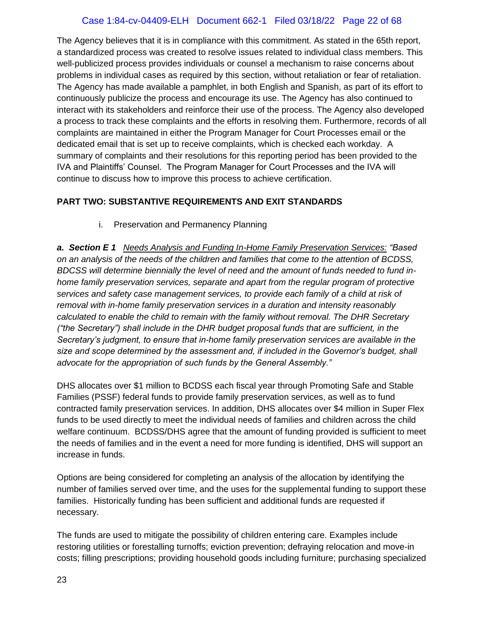## Case 1:84-cv-04409-ELH Document 662-1 Filed 03/18/22 Page 22 of 68

The Agency believes that it is in compliance with this commitment. As stated in the 65th report, a standardized process was created to resolve issues related to individual class members. This well-publicized process provides individuals or counsel a mechanism to raise concerns about problems in individual cases as required by this section, without retaliation or fear of retaliation. The Agency has made available a pamphlet, in both English and Spanish, as part of its effort to continuously publicize the process and encourage its use. The Agency has also continued to interact with its stakeholders and reinforce their use of the process. The Agency also developed a process to track these complaints and the efforts in resolving them. Furthermore, records of all complaints are maintained in either the Program Manager for Court Processes email or the dedicated email that is set up to receive complaints, which is checked each workday. A summary of complaints and their resolutions for this reporting period has been provided to the IVA and Plaintiffs' Counsel. The Program Manager for Court Processes and the IVA will continue to discuss how to improve this process to achieve certification.

#### **PART TWO: SUBSTANTIVE REQUIREMENTS AND EXIT STANDARDS**

i. Preservation and Permanency Planning

*a. Section E 1 Needs Analysis and Funding In-Home Family Preservation Services: "Based on an analysis of the needs of the children and families that come to the attention of BCDSS, BDCSS will determine biennially the level of need and the amount of funds needed to fund inhome family preservation services, separate and apart from the regular program of protective services and safety case management services, to provide each family of a child at risk of removal with in-home family preservation services in a duration and intensity reasonably calculated to enable the child to remain with the family without removal. The DHR Secretary ("the Secretary") shall include in the DHR budget proposal funds that are sufficient, in the Secretary's judgment, to ensure that in-home family preservation services are available in the size and scope determined by the assessment and, if included in the Governor's budget, shall advocate for the appropriation of such funds by the General Assembly."*

DHS allocates over \$1 million to BCDSS each fiscal year through Promoting Safe and Stable Families (PSSF) federal funds to provide family preservation services, as well as to fund contracted family preservation services. In addition, DHS allocates over \$4 million in Super Flex funds to be used directly to meet the individual needs of families and children across the child welfare continuum. BCDSS/DHS agree that the amount of funding provided is sufficient to meet the needs of families and in the event a need for more funding is identified, DHS will support an increase in funds.

Options are being considered for completing an analysis of the allocation by identifying the number of families served over time, and the uses for the supplemental funding to support these families. Historically funding has been sufficient and additional funds are requested if necessary.

The funds are used to mitigate the possibility of children entering care. Examples include restoring utilities or forestalling turnoffs; eviction prevention; defraying relocation and move-in costs; filling prescriptions; providing household goods including furniture; purchasing specialized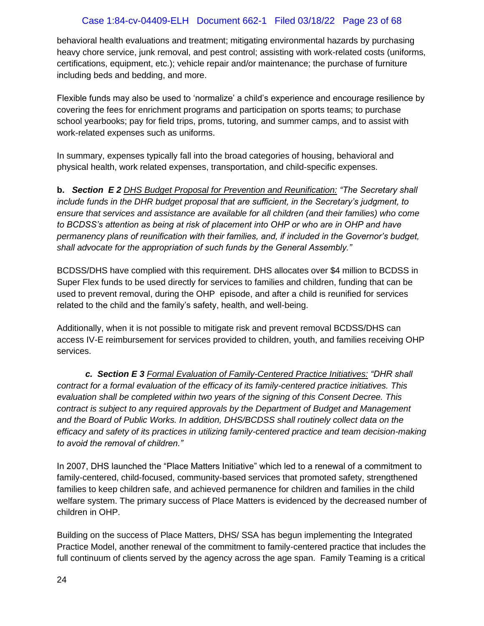behavioral health evaluations and treatment; mitigating environmental hazards by purchasing heavy chore service, junk removal, and pest control; assisting with work-related costs (uniforms, certifications, equipment, etc.); vehicle repair and/or maintenance; the purchase of furniture including beds and bedding, and more.

Flexible funds may also be used to 'normalize' a child's experience and encourage resilience by covering the fees for enrichment programs and participation on sports teams; to purchase school yearbooks; pay for field trips, proms, tutoring, and summer camps, and to assist with work-related expenses such as uniforms.

In summary, expenses typically fall into the broad categories of housing, behavioral and physical health, work related expenses, transportation, and child-specific expenses.

**b.** *Section E 2 DHS Budget Proposal for Prevention and Reunification: "The Secretary shall include funds in the DHR budget proposal that are sufficient, in the Secretary's judgment, to ensure that services and assistance are available for all children (and their families) who come to BCDSS's attention as being at risk of placement into OHP or who are in OHP and have permanency plans of reunification with their families, and, if included in the Governor's budget, shall advocate for the appropriation of such funds by the General Assembly."*

BCDSS/DHS have complied with this requirement. DHS allocates over \$4 million to BCDSS in Super Flex funds to be used directly for services to families and children, funding that can be used to prevent removal, during the OHP episode, and after a child is reunified for services related to the child and the family's safety, health, and well-being.

Additionally, when it is not possible to mitigate risk and prevent removal BCDSS/DHS can access IV-E reimbursement for services provided to children, youth, and families receiving OHP services.

*c. Section E 3 Formal Evaluation of Family-Centered Practice Initiatives: "DHR shall contract for a formal evaluation of the efficacy of its family-centered practice initiatives. This evaluation shall be completed within two years of the signing of this Consent Decree. This contract is subject to any required approvals by the Department of Budget and Management and the Board of Public Works. In addition, DHS/BCDSS shall routinely collect data on the efficacy and safety of its practices in utilizing family-centered practice and team decision-making to avoid the removal of children."* 

In 2007, DHS launched the "Place Matters Initiative" which led to a renewal of a commitment to family-centered, child-focused, community-based services that promoted safety, strengthened families to keep children safe, and achieved permanence for children and families in the child welfare system. The primary success of Place Matters is evidenced by the decreased number of children in OHP.

Building on the success of Place Matters, DHS/ SSA has begun implementing the Integrated Practice Model, another renewal of the commitment to family-centered practice that includes the full continuum of clients served by the agency across the age span. Family Teaming is a critical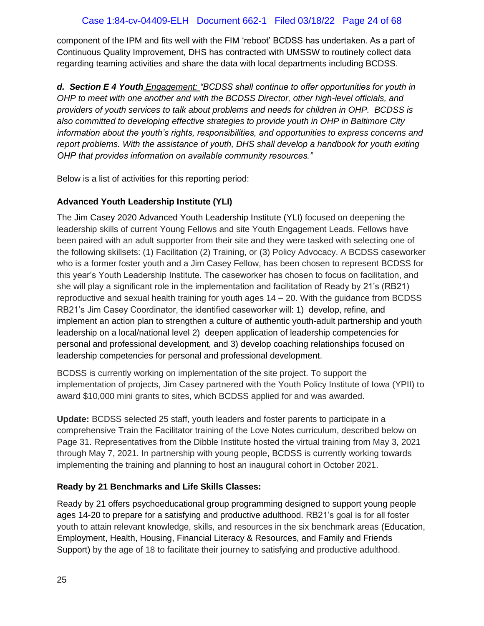component of the IPM and fits well with the FIM 'reboot' BCDSS has undertaken. As a part of Continuous Quality Improvement, DHS has contracted with UMSSW to routinely collect data regarding teaming activities and share the data with local departments including BCDSS.

*d. Section E 4 Youth Engagement: "BCDSS shall continue to offer opportunities for youth in OHP to meet with one another and with the BCDSS Director, other high-level officials, and providers of youth services to talk about problems and needs for children in OHP. BCDSS is also committed to developing effective strategies to provide youth in OHP in Baltimore City information about the youth's rights, responsibilities, and opportunities to express concerns and report problems. With the assistance of youth, DHS shall develop a handbook for youth exiting OHP that provides information on available community resources."* 

Below is a list of activities for this reporting period:

## **Advanced Youth Leadership Institute (YLI)**

The Jim Casey 2020 Advanced Youth Leadership Institute (YLI) focused on deepening the leadership skills of current Young Fellows and site Youth Engagement Leads. Fellows have been paired with an adult supporter from their site and they were tasked with selecting one of the following skillsets: (1) Facilitation (2) Training, or (3) Policy Advocacy. A BCDSS caseworker who is a former foster youth and a Jim Casey Fellow, has been chosen to represent BCDSS for this year's Youth Leadership Institute. The caseworker has chosen to focus on facilitation, and she will play a significant role in the implementation and facilitation of Ready by 21's (RB21) reproductive and sexual health training for youth ages  $14 - 20$ . With the guidance from BCDSS RB21's Jim Casey Coordinator, the identified caseworker will: 1) develop, refine, and implement an action plan to strengthen a culture of authentic youth-adult partnership and youth leadership on a local/national level 2) deepen application of leadership competencies for personal and professional development, and 3) develop coaching relationships focused on leadership competencies for personal and professional development.

BCDSS is currently working on implementation of the site project. To support the implementation of projects, Jim Casey partnered with the Youth Policy Institute of Iowa (YPII) to award \$10,000 mini grants to sites, which BCDSS applied for and was awarded.

**Update:** BCDSS selected 25 staff, youth leaders and foster parents to participate in a comprehensive Train the Facilitator training of the Love Notes curriculum, described below on Page 31. Representatives from the Dibble Institute hosted the virtual training from May 3, 2021 through May 7, 2021. In partnership with young people, BCDSS is currently working towards implementing the training and planning to host an inaugural cohort in October 2021.

## **Ready by 21 Benchmarks and Life Skills Classes:**

Ready by 21 offers psychoeducational group programming designed to support young people ages 14-20 to prepare for a satisfying and productive adulthood. RB21's goal is for all foster youth to attain relevant knowledge, skills, and resources in the six benchmark areas (Education, Employment, Health, Housing, Financial Literacy & Resources, and Family and Friends Support) by the age of 18 to facilitate their journey to satisfying and productive adulthood.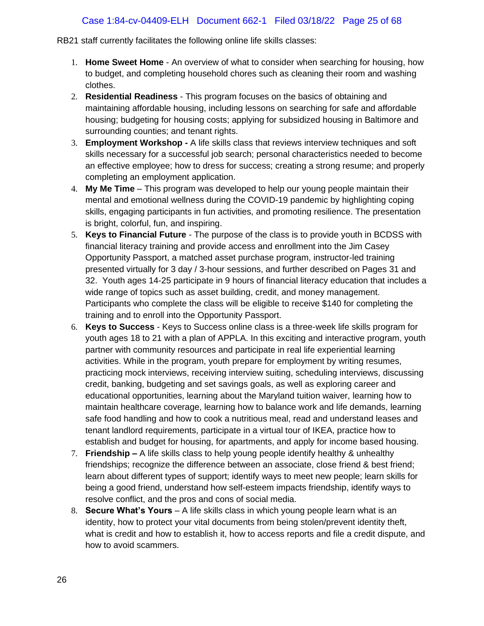## Case 1:84-cv-04409-ELH Document 662-1 Filed 03/18/22 Page 25 of 68

RB21 staff currently facilitates the following online life skills classes:

- 1. **Home Sweet Home** An overview of what to consider when searching for housing, how to budget, and completing household chores such as cleaning their room and washing clothes.
- 2. **Residential Readiness** This program focuses on the basics of obtaining and maintaining affordable housing, including lessons on searching for safe and affordable housing; budgeting for housing costs; applying for subsidized housing in Baltimore and surrounding counties; and tenant rights.
- 3. **Employment Workshop -** A life skills class that reviews interview techniques and soft skills necessary for a successful job search; personal characteristics needed to become an effective employee; how to dress for success; creating a strong resume; and properly completing an employment application.
- 4. **My Me Time** This program was developed to help our young people maintain their mental and emotional wellness during the COVID-19 pandemic by highlighting coping skills, engaging participants in fun activities, and promoting resilience. The presentation is bright, colorful, fun, and inspiring.
- 5. **Keys to Financial Future** The purpose of the class is to provide youth in BCDSS with financial literacy training and provide access and enrollment into the Jim Casey Opportunity Passport, a matched asset purchase program, instructor-led training presented virtually for 3 day / 3-hour sessions, and further described on Pages 31 and 32. Youth ages 14-25 participate in 9 hours of financial literacy education that includes a wide range of topics such as asset building, credit, and money management. Participants who complete the class will be eligible to receive \$140 for completing the training and to enroll into the Opportunity Passport.
- 6. **Keys to Success** Keys to Success online class is a three-week life skills program for youth ages 18 to 21 with a plan of APPLA. In this exciting and interactive program, youth partner with community resources and participate in real life experiential learning activities. While in the program, youth prepare for employment by writing resumes, practicing mock interviews, receiving interview suiting, scheduling interviews, discussing credit, banking, budgeting and set savings goals, as well as exploring career and educational opportunities, learning about the Maryland tuition waiver, learning how to maintain healthcare coverage, learning how to balance work and life demands, learning safe food handling and how to cook a nutritious meal, read and understand leases and tenant landlord requirements, participate in a virtual tour of IKEA, practice how to establish and budget for housing, for apartments, and apply for income based housing.
- 7. **Friendship –** A life skills class to help young people identify healthy & unhealthy friendships; recognize the difference between an associate, close friend & best friend; learn about different types of support; identify ways to meet new people; learn skills for being a good friend, understand how self-esteem impacts friendship, identify ways to resolve conflict, and the pros and cons of social media.
- 8. **Secure What's Yours** A life skills class in which young people learn what is an identity, how to protect your vital documents from being stolen/prevent identity theft, what is credit and how to establish it, how to access reports and file a credit dispute, and how to avoid scammers.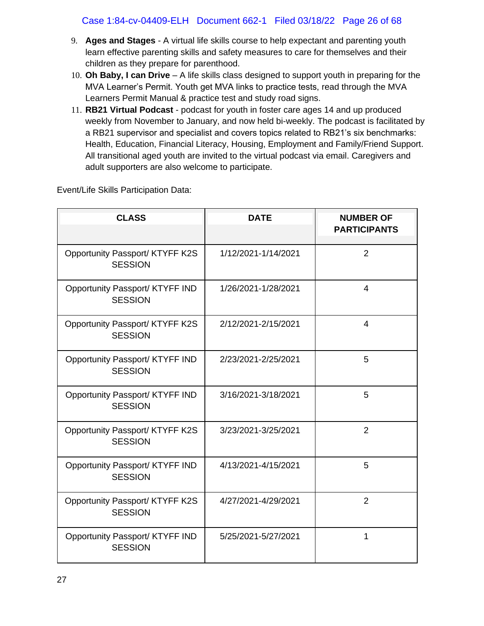- 9. **Ages and Stages**  A virtual life skills course to help expectant and parenting youth learn effective parenting skills and safety measures to care for themselves and their children as they prepare for parenthood.
- 10. **Oh Baby, I can Drive**  A life skills class designed to support youth in preparing for the MVA Learner's Permit. Youth get MVA links to practice tests, read through the MVA Learners Permit Manual & practice test and study road signs.
- 11. **RB21 Virtual Podcast** podcast for youth in foster care ages 14 and up produced weekly from November to January, and now held bi-weekly. The podcast is facilitated by a RB21 supervisor and specialist and covers topics related to RB21's six benchmarks: Health, Education, Financial Literacy, Housing, Employment and Family/Friend Support. All transitional aged youth are invited to the virtual podcast via email. Caregivers and adult supporters are also welcome to participate.

Event/Life Skills Participation Data:

| <b>CLASS</b>                                      | <b>DATE</b>         | <b>NUMBER OF</b><br><b>PARTICIPANTS</b> |
|---------------------------------------------------|---------------------|-----------------------------------------|
| Opportunity Passport/ KTYFF K2S<br><b>SESSION</b> | 1/12/2021-1/14/2021 | $\overline{2}$                          |
| Opportunity Passport/ KTYFF IND<br><b>SESSION</b> | 1/26/2021-1/28/2021 | $\overline{4}$                          |
| Opportunity Passport/ KTYFF K2S<br><b>SESSION</b> | 2/12/2021-2/15/2021 | $\overline{\mathcal{A}}$                |
| Opportunity Passport/ KTYFF IND<br><b>SESSION</b> | 2/23/2021-2/25/2021 | 5                                       |
| Opportunity Passport/ KTYFF IND<br><b>SESSION</b> | 3/16/2021-3/18/2021 | 5                                       |
| Opportunity Passport/ KTYFF K2S<br><b>SESSION</b> | 3/23/2021-3/25/2021 | $\overline{2}$                          |
| Opportunity Passport/ KTYFF IND<br><b>SESSION</b> | 4/13/2021-4/15/2021 | 5                                       |
| Opportunity Passport/ KTYFF K2S<br><b>SESSION</b> | 4/27/2021-4/29/2021 | $\overline{2}$                          |
| Opportunity Passport/ KTYFF IND<br><b>SESSION</b> | 5/25/2021-5/27/2021 | 1                                       |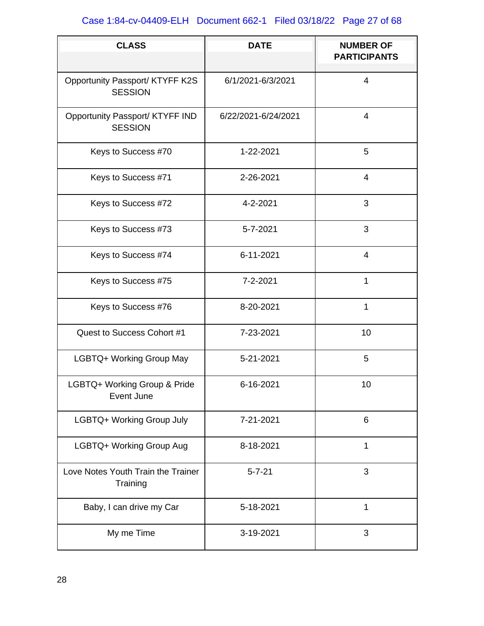# Case 1:84-cv-04409-ELH Document 662-1 Filed 03/18/22 Page 27 of 68

| <b>CLASS</b>                                      | <b>DATE</b>         | <b>NUMBER OF</b><br><b>PARTICIPANTS</b> |
|---------------------------------------------------|---------------------|-----------------------------------------|
| Opportunity Passport/ KTYFF K2S<br><b>SESSION</b> | 6/1/2021-6/3/2021   | $\overline{4}$                          |
| Opportunity Passport/ KTYFF IND<br><b>SESSION</b> | 6/22/2021-6/24/2021 | $\overline{4}$                          |
| Keys to Success #70                               | 1-22-2021           | 5                                       |
| Keys to Success #71                               | 2-26-2021           | $\overline{4}$                          |
| Keys to Success #72                               | 4-2-2021            | 3                                       |
| Keys to Success #73                               | 5-7-2021            | 3                                       |
| Keys to Success #74                               | 6-11-2021           | $\overline{4}$                          |
| Keys to Success #75                               | 7-2-2021            | 1                                       |
| Keys to Success #76                               | 8-20-2021           | 1                                       |
| Quest to Success Cohort #1                        | 7-23-2021           | 10                                      |
| LGBTQ+ Working Group May                          | 5-21-2021           | 5                                       |
| LGBTQ+ Working Group & Pride<br>Event June        | 6-16-2021           | 10                                      |
| LGBTQ+ Working Group July                         | 7-21-2021           | $6\phantom{1}$                          |
| LGBTQ+ Working Group Aug                          | 8-18-2021           | 1                                       |
| Love Notes Youth Train the Trainer<br>Training    | $5 - 7 - 21$        | 3                                       |
| Baby, I can drive my Car                          | 5-18-2021           | 1                                       |
| My me Time                                        | 3-19-2021           | 3                                       |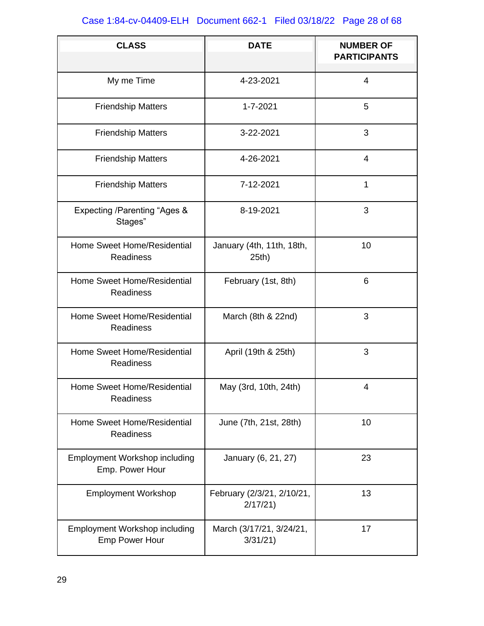# Case 1:84-cv-04409-ELH Document 662-1 Filed 03/18/22 Page 28 of 68

| <b>CLASS</b>                                                  | <b>DATE</b>                           | <b>NUMBER OF</b><br><b>PARTICIPANTS</b> |
|---------------------------------------------------------------|---------------------------------------|-----------------------------------------|
| My me Time                                                    | 4-23-2021                             | $\overline{4}$                          |
| <b>Friendship Matters</b>                                     | 1-7-2021                              | 5                                       |
| <b>Friendship Matters</b>                                     | 3-22-2021                             | 3                                       |
| <b>Friendship Matters</b>                                     | 4-26-2021                             | $\overline{4}$                          |
| <b>Friendship Matters</b>                                     | 7-12-2021                             | $\mathbf{1}$                            |
| Expecting /Parenting "Ages &<br>Stages"                       | 8-19-2021                             | 3                                       |
| Home Sweet Home/Residential<br><b>Readiness</b>               | January (4th, 11th, 18th,<br>25th)    | 10                                      |
| Home Sweet Home/Residential<br><b>Readiness</b>               | February (1st, 8th)                   | 6                                       |
| Home Sweet Home/Residential<br><b>Readiness</b>               | March (8th & 22nd)                    | 3                                       |
| Home Sweet Home/Residential<br><b>Readiness</b>               | April (19th & 25th)                   | 3                                       |
| Home Sweet Home/Residential<br><b>Readiness</b>               | May (3rd, 10th, 24th)                 | 4                                       |
| Home Sweet Home/Residential<br><b>Readiness</b>               | June (7th, 21st, 28th)                | 10                                      |
| <b>Employment Workshop including</b><br>Emp. Power Hour       | January (6, 21, 27)<br>23             |                                         |
| <b>Employment Workshop</b>                                    | February (2/3/21, 2/10/21,<br>2/17/21 | 13                                      |
| <b>Employment Workshop including</b><br><b>Emp Power Hour</b> | March (3/17/21, 3/24/21,<br>3/31/21   | 17                                      |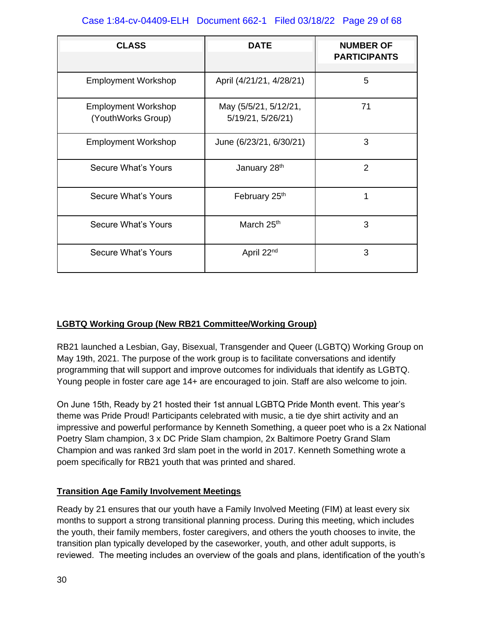## Case 1:84-cv-04409-ELH Document 662-1 Filed 03/18/22 Page 29 of 68

| <b>CLASS</b>                                     | <b>DATE</b>                                | <b>NUMBER OF</b><br><b>PARTICIPANTS</b> |
|--------------------------------------------------|--------------------------------------------|-----------------------------------------|
| <b>Employment Workshop</b>                       | April (4/21/21, 4/28/21)                   | 5                                       |
| <b>Employment Workshop</b><br>(YouthWorks Group) | May (5/5/21, 5/12/21,<br>5/19/21, 5/26/21) | 71                                      |
| <b>Employment Workshop</b>                       | June (6/23/21, 6/30/21)                    | 3                                       |
| <b>Secure What's Yours</b>                       | January 28 <sup>th</sup>                   | $\overline{2}$                          |
| <b>Secure What's Yours</b>                       | February 25th                              | 1                                       |
| <b>Secure What's Yours</b>                       | March 25 <sup>th</sup>                     | 3                                       |
| Secure What's Yours                              | April 22 <sup>nd</sup>                     | 3                                       |

## **LGBTQ Working Group (New RB21 Committee/Working Group)**

RB21 launched a Lesbian, Gay, Bisexual, Transgender and Queer (LGBTQ) Working Group on May 19th, 2021. The purpose of the work group is to facilitate conversations and identify programming that will support and improve outcomes for individuals that identify as LGBTQ. Young people in foster care age 14+ are encouraged to join. Staff are also welcome to join.

On June 15th, Ready by 21 hosted their 1st annual LGBTQ Pride Month event. This year's theme was Pride Proud! Participants celebrated with music, a tie dye shirt activity and an impressive and powerful performance by Kenneth Something, a queer poet who is a 2x National Poetry Slam champion, 3 x DC Pride Slam champion, 2x Baltimore Poetry Grand Slam Champion and was ranked 3rd slam poet in the world in 2017. Kenneth Something wrote a poem specifically for RB21 youth that was printed and shared.

## **Transition Age Family Involvement Meetings**

Ready by 21 ensures that our youth have a Family Involved Meeting (FIM) at least every six months to support a strong transitional planning process. During this meeting, which includes the youth, their family members, foster caregivers, and others the youth chooses to invite, the transition plan typically developed by the caseworker, youth, and other adult supports, is reviewed. The meeting includes an overview of the goals and plans, identification of the youth's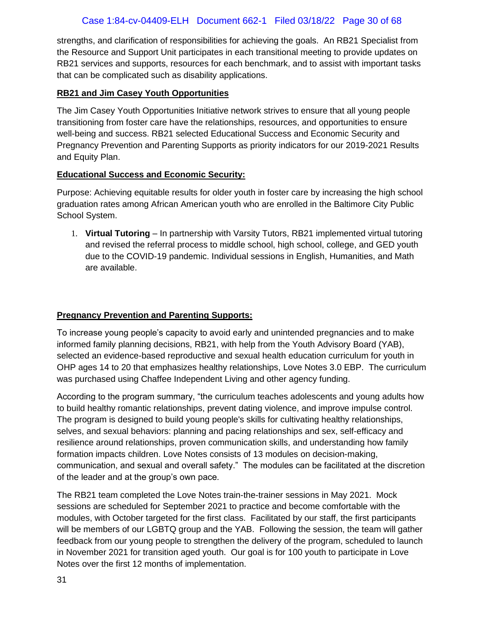strengths, and clarification of responsibilities for achieving the goals. An RB21 Specialist from the Resource and Support Unit participates in each transitional meeting to provide updates on RB21 services and supports, resources for each benchmark, and to assist with important tasks that can be complicated such as disability applications.

## **RB21 and Jim Casey Youth Opportunities**

The Jim Casey Youth Opportunities Initiative network strives to ensure that all young people transitioning from foster care have the relationships, resources, and opportunities to ensure well-being and success. RB21 selected Educational Success and Economic Security and Pregnancy Prevention and Parenting Supports as priority indicators for our 2019-2021 Results and Equity Plan.

## **Educational Success and Economic Security:**

Purpose: Achieving equitable results for older youth in foster care by increasing the high school graduation rates among African American youth who are enrolled in the Baltimore City Public School System.

1. **Virtual Tutoring** – In partnership with Varsity Tutors, RB21 implemented virtual tutoring and revised the referral process to middle school, high school, college, and GED youth due to the COVID-19 pandemic. Individual sessions in English, Humanities, and Math are available.

## **Pregnancy Prevention and Parenting Supports:**

To increase young people's capacity to avoid early and unintended pregnancies and to make informed family planning decisions, RB21, with help from the Youth Advisory Board (YAB), selected an evidence-based reproductive and sexual health education curriculum for youth in OHP ages 14 to 20 that emphasizes healthy relationships, Love Notes 3.0 EBP. The curriculum was purchased using Chaffee Independent Living and other agency funding.

According to the program summary, "the curriculum teaches adolescents and young adults how to build healthy romantic relationships, prevent dating violence, and improve impulse control. The program is designed to build young people's skills for cultivating healthy relationships, selves, and sexual behaviors: planning and pacing relationships and sex, self-efficacy and resilience around relationships, proven communication skills, and understanding how family formation impacts children. Love Notes consists of 13 modules on decision-making, communication, and sexual and overall safety." The modules can be facilitated at the discretion of the leader and at the group's own pace.

The RB21 team completed the Love Notes train-the-trainer sessions in May 2021. Mock sessions are scheduled for September 2021 to practice and become comfortable with the modules, with October targeted for the first class. Facilitated by our staff, the first participants will be members of our LGBTQ group and the YAB. Following the session, the team will gather feedback from our young people to strengthen the delivery of the program, scheduled to launch in November 2021 for transition aged youth. Our goal is for 100 youth to participate in Love Notes over the first 12 months of implementation.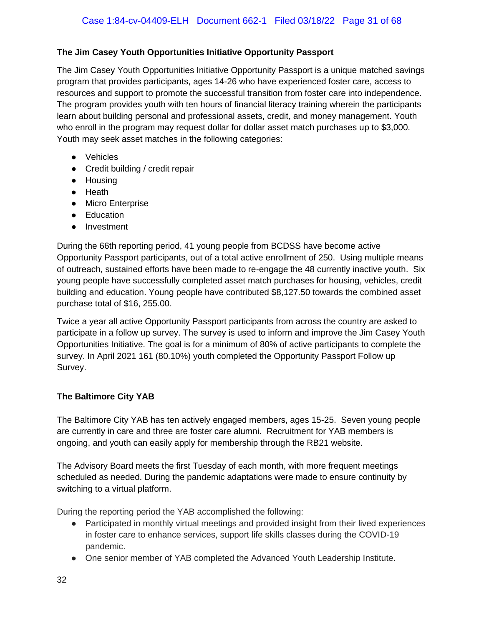## **The Jim Casey Youth Opportunities Initiative Opportunity Passport**

The Jim Casey Youth Opportunities Initiative Opportunity Passport is a unique matched savings program that provides participants, ages 14-26 who have experienced foster care, access to resources and support to promote the successful transition from foster care into independence. The program provides youth with ten hours of financial literacy training wherein the participants learn about building personal and professional assets, credit, and money management. Youth who enroll in the program may request dollar for dollar asset match purchases up to \$3,000. Youth may seek asset matches in the following categories:

- Vehicles
- Credit building / credit repair
- Housing
- Heath
- Micro Enterprise
- Education
- Investment

During the 66th reporting period, 41 young people from BCDSS have become active Opportunity Passport participants, out of a total active enrollment of 250. Using multiple means of outreach, sustained efforts have been made to re-engage the 48 currently inactive youth. Six young people have successfully completed asset match purchases for housing, vehicles, credit building and education. Young people have contributed \$8,127.50 towards the combined asset purchase total of \$16, 255.00.

Twice a year all active Opportunity Passport participants from across the country are asked to participate in a follow up survey. The survey is used to inform and improve the Jim Casey Youth Opportunities Initiative. The goal is for a minimum of 80% of active participants to complete the survey. In April 2021 161 (80.10%) youth completed the Opportunity Passport Follow up Survey.

## **The Baltimore City YAB**

The Baltimore City YAB has ten actively engaged members, ages 15-25. Seven young people are currently in care and three are foster care alumni. Recruitment for YAB members is ongoing, and youth can easily apply for membership through the RB21 website.

The Advisory Board meets the first Tuesday of each month, with more frequent meetings scheduled as needed. During the pandemic adaptations were made to ensure continuity by switching to a virtual platform.

During the reporting period the YAB accomplished the following:

- Participated in monthly virtual meetings and provided insight from their lived experiences in foster care to enhance services, support life skills classes during the COVID-19 pandemic.
- One senior member of YAB completed the Advanced Youth Leadership Institute.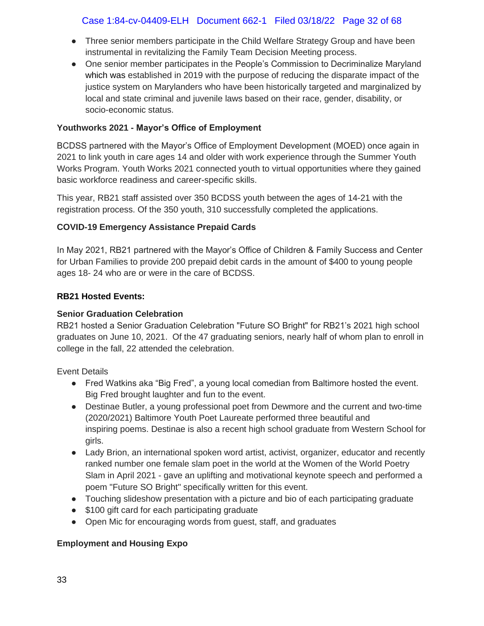## Case 1:84-cv-04409-ELH Document 662-1 Filed 03/18/22 Page 32 of 68

- Three senior members participate in the Child Welfare Strategy Group and have been instrumental in revitalizing the Family Team Decision Meeting process.
- One senior member participates in the People's Commission to Decriminalize Maryland which was established in 2019 with the purpose of reducing the disparate impact of the justice system on Marylanders who have been historically targeted and marginalized by local and state criminal and juvenile laws based on their race, gender, disability, or socio-economic status.

### **Youthworks 2021 - Mayor's Office of Employment**

BCDSS partnered with the Mayor's Office of Employment Development (MOED) once again in 2021 to link youth in care ages 14 and older with work experience through the Summer Youth Works Program. Youth Works 2021 connected youth to virtual opportunities where they gained basic workforce readiness and career-specific skills.

This year, RB21 staff assisted over 350 BCDSS youth between the ages of 14-21 with the registration process. Of the 350 youth, 310 successfully completed the applications.

#### **COVID-19 Emergency Assistance Prepaid Cards**

In May 2021, RB21 partnered with the Mayor's Office of Children & Family Success and Center for Urban Families to provide 200 prepaid debit cards in the amount of \$400 to young people ages 18- 24 who are or were in the care of BCDSS.

#### **RB21 Hosted Events:**

#### **Senior Graduation Celebration**

RB21 hosted a Senior Graduation Celebration "Future SO Bright" for RB21's 2021 high school graduates on June 10, 2021. Of the 47 graduating seniors, nearly half of whom plan to enroll in college in the fall, 22 attended the celebration.

Event Details

- Fred Watkins aka "Big Fred", a young local comedian from Baltimore hosted the event. Big Fred brought laughter and fun to the event.
- Destinae Butler, a young professional poet from Dewmore and the current and two-time (2020/2021) Baltimore Youth Poet Laureate performed three beautiful and inspiring poems. Destinae is also a recent high school graduate from Western School for girls.
- Lady Brion, an international spoken word artist, activist, organizer, educator and recently ranked number one female slam poet in the world at the Women of the World Poetry Slam in April 2021 - gave an uplifting and motivational keynote speech and performed a poem "Future SO Bright" specifically written for this event.
- Touching slideshow presentation with a picture and bio of each participating graduate
- \$100 gift card for each participating graduate
- Open Mic for encouraging words from guest, staff, and graduates

## **Employment and Housing Expo**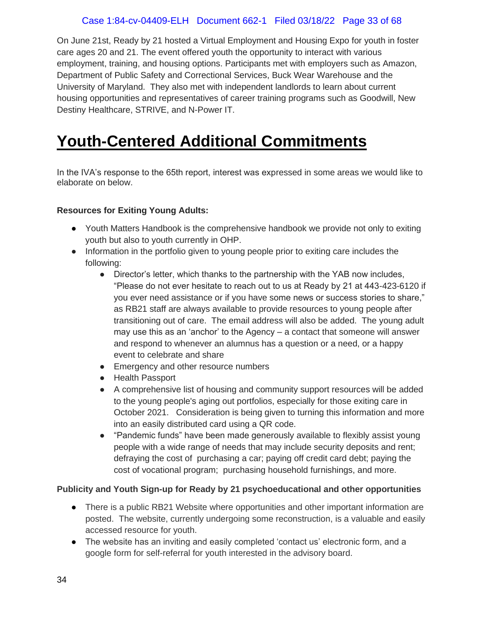## Case 1:84-cv-04409-ELH Document 662-1 Filed 03/18/22 Page 33 of 68

On June 21st, Ready by 21 hosted a Virtual Employment and Housing Expo for youth in foster care ages 20 and 21. The event offered youth the opportunity to interact with various employment, training, and housing options. Participants met with employers such as Amazon, Department of Public Safety and Correctional Services, Buck Wear Warehouse and the University of Maryland. They also met with independent landlords to learn about current housing opportunities and representatives of career training programs such as Goodwill, New Destiny Healthcare, STRIVE, and N-Power IT.

# <span id="page-32-0"></span>**Youth-Centered Additional Commitments**

In the IVA's response to the 65th report, interest was expressed in some areas we would like to elaborate on below.

#### **Resources for Exiting Young Adults:**

- Youth Matters Handbook is the comprehensive handbook we provide not only to exiting youth but also to youth currently in OHP.
- Information in the portfolio given to young people prior to exiting care includes the following:
	- Director's letter, which thanks to the partnership with the YAB now includes, "Please do not ever hesitate to reach out to us at Ready by 21 at 443-423-6120 if you ever need assistance or if you have some news or success stories to share," as RB21 staff are always available to provide resources to young people after transitioning out of care. The email address will also be added. The young adult may use this as an 'anchor' to the Agency – a contact that someone will answer and respond to whenever an alumnus has a question or a need, or a happy event to celebrate and share
	- Emergency and other resource numbers
	- Health Passport
	- A comprehensive list of housing and community support resources will be added to the young people's aging out portfolios, especially for those exiting care in October 2021. Consideration is being given to turning this information and more into an easily distributed card using a QR code.
	- "Pandemic funds" have been made generously available to flexibly assist young people with a wide range of needs that may include security deposits and rent; defraying the cost of purchasing a car; paying off credit card debt; paying the cost of vocational program; purchasing household furnishings, and more.

#### **Publicity and Youth Sign-up for Ready by 21 psychoeducational and other opportunities**

- There is a public RB21 Website where opportunities and other important information are posted. The website, currently undergoing some reconstruction, is a valuable and easily accessed resource for youth.
- The website has an inviting and easily completed 'contact us' electronic form, and a google form for self-referral for youth interested in the advisory board.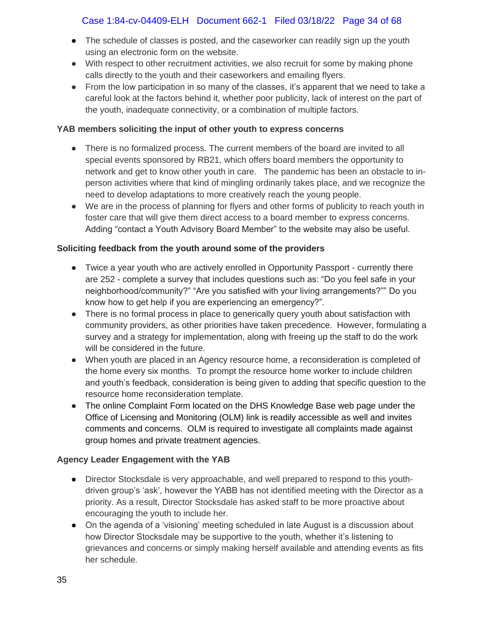## Case 1:84-cv-04409-ELH Document 662-1 Filed 03/18/22 Page 34 of 68

- The schedule of classes is posted, and the caseworker can readily sign up the youth using an electronic form on the website.
- With respect to other recruitment activities, we also recruit for some by making phone calls directly to the youth and their caseworkers and emailing flyers.
- From the low participation in so many of the classes, it's apparent that we need to take a careful look at the factors behind it, whether poor publicity, lack of interest on the part of the youth, inadequate connectivity, or a combination of multiple factors.

### **YAB members soliciting the input of other youth to express concerns**

- There is no formalized process. The current members of the board are invited to all special events sponsored by RB21, which offers board members the opportunity to network and get to know other youth in care. The pandemic has been an obstacle to inperson activities where that kind of mingling ordinarily takes place, and we recognize the need to develop adaptations to more creatively reach the young people.
- We are in the process of planning for flyers and other forms of publicity to reach youth in foster care that will give them direct access to a board member to express concerns. Adding "contact a Youth Advisory Board Member" to the website may also be useful.

#### **Soliciting feedback from the youth around some of the providers**

- Twice a year youth who are actively enrolled in Opportunity Passport currently there are 252 - complete a survey that includes questions such as: "Do you feel safe in your neighborhood/community?" "Are you satisfied with your living arrangements?"" Do you know how to get help if you are experiencing an emergency?".
- There is no formal process in place to generically query youth about satisfaction with community providers, as other priorities have taken precedence. However, formulating a survey and a strategy for implementation, along with freeing up the staff to do the work will be considered in the future.
- When youth are placed in an Agency resource home, a reconsideration is completed of the home every six months. To prompt the resource home worker to include children and youth's feedback, consideration is being given to adding that specific question to the resource home reconsideration template.
- The online Complaint Form located on the DHS Knowledge Base web page under the Office of Licensing and Monitoring (OLM) link is readily accessible as well and invites comments and concerns. OLM is required to investigate all complaints made against group homes and private treatment agencies.

## **Agency Leader Engagement with the YAB**

- Director Stocksdale is very approachable, and well prepared to respond to this youthdriven group's 'ask', however the YABB has not identified meeting with the Director as a priority. As a result, Director Stocksdale has asked staff to be more proactive about encouraging the youth to include her.
- On the agenda of a 'visioning' meeting scheduled in late August is a discussion about how Director Stocksdale may be supportive to the youth, whether it's listening to grievances and concerns or simply making herself available and attending events as fits her schedule.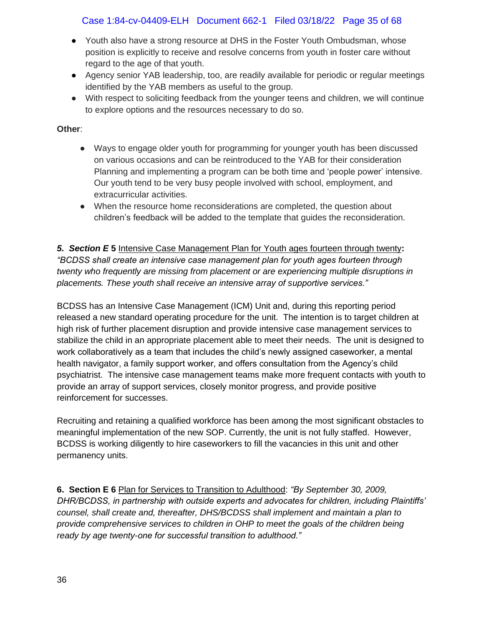## Case 1:84-cv-04409-ELH Document 662-1 Filed 03/18/22 Page 35 of 68

- Youth also have a strong resource at DHS in the Foster Youth Ombudsman, whose position is explicitly to receive and resolve concerns from youth in foster care without regard to the age of that youth.
- Agency senior YAB leadership, too, are readily available for periodic or regular meetings identified by the YAB members as useful to the group.
- With respect to soliciting feedback from the younger teens and children, we will continue to explore options and the resources necessary to do so.

#### **Other**:

- Ways to engage older youth for programming for younger youth has been discussed on various occasions and can be reintroduced to the YAB for their consideration Planning and implementing a program can be both time and 'people power' intensive. Our youth tend to be very busy people involved with school, employment, and extracurricular activities.
- When the resource home reconsiderations are completed, the question about children's feedback will be added to the template that guides the reconsideration.

*5. Section E* **5** Intensive Case Management Plan for Youth ages fourteen through twenty**:** *"BCDSS shall create an intensive case management plan for youth ages fourteen through twenty who frequently are missing from placement or are experiencing multiple disruptions in placements. These youth shall receive an intensive array of supportive services."*

BCDSS has an Intensive Case Management (ICM) Unit and, during this reporting period released a new standard operating procedure for the unit. The intention is to target children at high risk of further placement disruption and provide intensive case management services to stabilize the child in an appropriate placement able to meet their needs. The unit is designed to work collaboratively as a team that includes the child's newly assigned caseworker, a mental health navigator, a family support worker, and offers consultation from the Agency's child psychiatrist. The intensive case management teams make more frequent contacts with youth to provide an array of support services, closely monitor progress, and provide positive reinforcement for successes.

Recruiting and retaining a qualified workforce has been among the most significant obstacles to meaningful implementation of the new SOP. Currently, the unit is not fully staffed. However, BCDSS is working diligently to hire caseworkers to fill the vacancies in this unit and other permanency units.

**6. Section E 6** Plan for Services to Transition to Adulthood: *"By September 30, 2009, DHR/BCDSS, in partnership with outside experts and advocates for children, including Plaintiffs' counsel, shall create and, thereafter, DHS/BCDSS shall implement and maintain a plan to provide comprehensive services to children in OHP to meet the goals of the children being ready by age twenty-one for successful transition to adulthood."*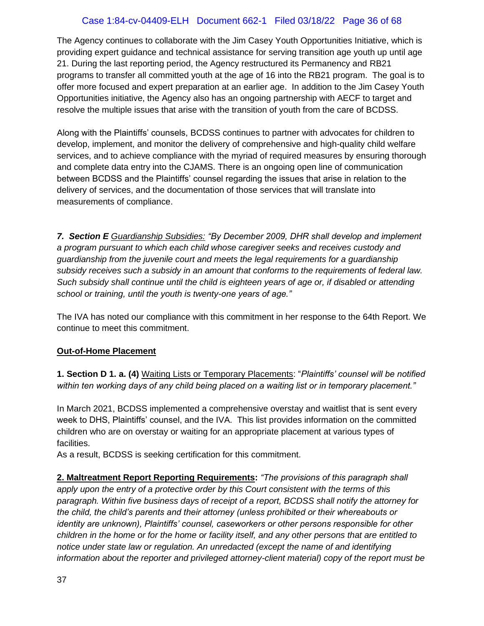## Case 1:84-cv-04409-ELH Document 662-1 Filed 03/18/22 Page 36 of 68

The Agency continues to collaborate with the Jim Casey Youth Opportunities Initiative, which is providing expert guidance and technical assistance for serving transition age youth up until age 21. During the last reporting period, the Agency restructured its Permanency and RB21 programs to transfer all committed youth at the age of 16 into the RB21 program. The goal is to offer more focused and expert preparation at an earlier age. In addition to the Jim Casey Youth Opportunities initiative, the Agency also has an ongoing partnership with AECF to target and resolve the multiple issues that arise with the transition of youth from the care of BCDSS.

Along with the Plaintiffs' counsels, BCDSS continues to partner with advocates for children to develop, implement, and monitor the delivery of comprehensive and high-quality child welfare services, and to achieve compliance with the myriad of required measures by ensuring thorough and complete data entry into the CJAMS. There is an ongoing open line of communication between BCDSS and the Plaintiffs' counsel regarding the issues that arise in relation to the delivery of services, and the documentation of those services that will translate into measurements of compliance.

*7. Section E Guardianship Subsidies: "By December 2009, DHR shall develop and implement a program pursuant to which each child whose caregiver seeks and receives custody and guardianship from the juvenile court and meets the legal requirements for a guardianship subsidy receives such a subsidy in an amount that conforms to the requirements of federal law. Such subsidy shall continue until the child is eighteen years of age or, if disabled or attending school or training, until the youth is twenty-one years of age."* 

The IVA has noted our compliance with this commitment in her response to the 64th Report. We continue to meet this commitment.

## **Out-of-Home Placement**

**1. Section D 1. a. (4)** Waiting Lists or Temporary Placements: "*Plaintiffs' counsel will be notified within ten working days of any child being placed on a waiting list or in temporary placement."*

In March 2021, BCDSS implemented a comprehensive overstay and waitlist that is sent every week to DHS, Plaintiffs' counsel, and the IVA. This list provides information on the committed children who are on overstay or waiting for an appropriate placement at various types of facilities.

As a result, BCDSS is seeking certification for this commitment.

**2. Maltreatment Report Reporting Requirements:** *"The provisions of this paragraph shall apply upon the entry of a protective order by this Court consistent with the terms of this paragraph. Within five business days of receipt of a report, BCDSS shall notify the attorney for the child, the child's parents and their attorney (unless prohibited or their whereabouts or identity are unknown), Plaintiffs' counsel, caseworkers or other persons responsible for other children in the home or for the home or facility itself, and any other persons that are entitled to notice under state law or regulation. An unredacted (except the name of and identifying information about the reporter and privileged attorney-client material) copy of the report must be*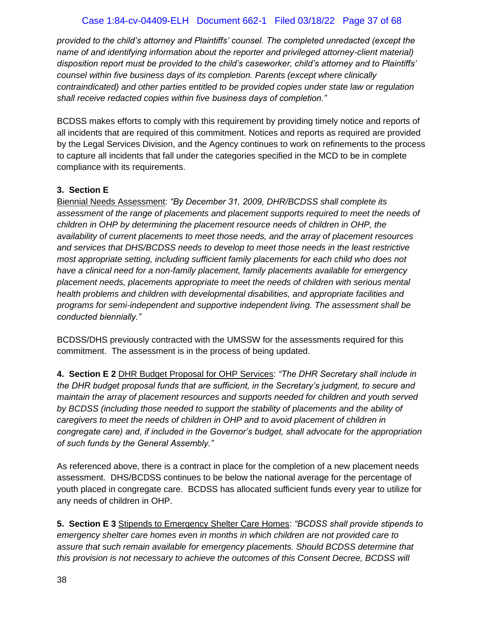## Case 1:84-cv-04409-ELH Document 662-1 Filed 03/18/22 Page 37 of 68

*provided to the child's attorney and Plaintiffs' counsel. The completed unredacted (except the name of and identifying information about the reporter and privileged attorney-client material) disposition report must be provided to the child's caseworker, child's attorney and to Plaintiffs' counsel within five business days of its completion. Parents (except where clinically contraindicated) and other parties entitled to be provided copies under state law or regulation shall receive redacted copies within five business days of completion."*

BCDSS makes efforts to comply with this requirement by providing timely notice and reports of all incidents that are required of this commitment. Notices and reports as required are provided by the Legal Services Division, and the Agency continues to work on refinements to the process to capture all incidents that fall under the categories specified in the MCD to be in complete compliance with its requirements.

## **3. Section E**

Biennial Needs Assessment: *"By December 31, 2009, DHR/BCDSS shall complete its assessment of the range of placements and placement supports required to meet the needs of children in OHP by determining the placement resource needs of children in OHP, the availability of current placements to meet those needs, and the array of placement resources and services that DHS/BCDSS needs to develop to meet those needs in the least restrictive most appropriate setting, including sufficient family placements for each child who does not have a clinical need for a non-family placement, family placements available for emergency placement needs, placements appropriate to meet the needs of children with serious mental health problems and children with developmental disabilities, and appropriate facilities and programs for semi-independent and supportive independent living. The assessment shall be conducted biennially."*

BCDSS/DHS previously contracted with the UMSSW for the assessments required for this commitment. The assessment is in the process of being updated.

**4. Section E 2** DHR Budget Proposal for OHP Services: *"The DHR Secretary shall include in the DHR budget proposal funds that are sufficient, in the Secretary's judgment, to secure and maintain the array of placement resources and supports needed for children and youth served by BCDSS (including those needed to support the stability of placements and the ability of caregivers to meet the needs of children in OHP and to avoid placement of children in congregate care) and, if included in the Governor's budget, shall advocate for the appropriation of such funds by the General Assembly."*

As referenced above, there is a contract in place for the completion of a new placement needs assessment. DHS/BCDSS continues to be below the national average for the percentage of youth placed in congregate care. BCDSS has allocated sufficient funds every year to utilize for any needs of children in OHP.

**5. Section E 3** Stipends to Emergency Shelter Care Homes: *"BCDSS shall provide stipends to emergency shelter care homes even in months in which children are not provided care to assure that such remain available for emergency placements. Should BCDSS determine that this provision is not necessary to achieve the outcomes of this Consent Decree, BCDSS will*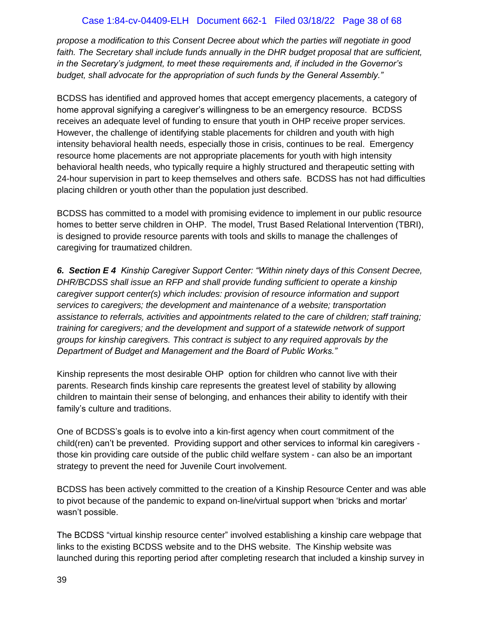### Case 1:84-cv-04409-ELH Document 662-1 Filed 03/18/22 Page 38 of 68

*propose a modification to this Consent Decree about which the parties will negotiate in good*  faith. The Secretary shall include funds annually in the DHR budget proposal that are sufficient, *in the Secretary's judgment, to meet these requirements and, if included in the Governor's budget, shall advocate for the appropriation of such funds by the General Assembly."*

BCDSS has identified and approved homes that accept emergency placements, a category of home approval signifying a caregiver's willingness to be an emergency resource. BCDSS receives an adequate level of funding to ensure that youth in OHP receive proper services. However, the challenge of identifying stable placements for children and youth with high intensity behavioral health needs, especially those in crisis, continues to be real. Emergency resource home placements are not appropriate placements for youth with high intensity behavioral health needs, who typically require a highly structured and therapeutic setting with 24-hour supervision in part to keep themselves and others safe. BCDSS has not had difficulties placing children or youth other than the population just described.

BCDSS has committed to a model with promising evidence to implement in our public resource homes to better serve children in OHP. The model, Trust Based Relational Intervention (TBRI), is designed to provide resource parents with tools and skills to manage the challenges of caregiving for traumatized children.

*6. Section E 4 Kinship Caregiver Support Center: "Within ninety days of this Consent Decree, DHR/BCDSS shall issue an RFP and shall provide funding sufficient to operate a kinship caregiver support center(s) which includes: provision of resource information and support services to caregivers; the development and maintenance of a website; transportation assistance to referrals, activities and appointments related to the care of children; staff training; training for caregivers; and the development and support of a statewide network of support groups for kinship caregivers. This contract is subject to any required approvals by the Department of Budget and Management and the Board of Public Works."* 

Kinship represents the most desirable OHP option for children who cannot live with their parents. Research finds kinship care represents the greatest level of stability by allowing children to maintain their sense of belonging, and enhances their ability to identify with their family's culture and traditions.

One of BCDSS's goals is to evolve into a kin-first agency when court commitment of the child(ren) can't be prevented. Providing support and other services to informal kin caregivers those kin providing care outside of the public child welfare system - can also be an important strategy to prevent the need for Juvenile Court involvement.

BCDSS has been actively committed to the creation of a Kinship Resource Center and was able to pivot because of the pandemic to expand on-line/virtual support when 'bricks and mortar' wasn't possible.

The BCDSS "virtual kinship resource center" involved establishing a kinship care webpage that links to the existing BCDSS website and to the DHS website. The Kinship website was launched during this reporting period after completing research that included a kinship survey in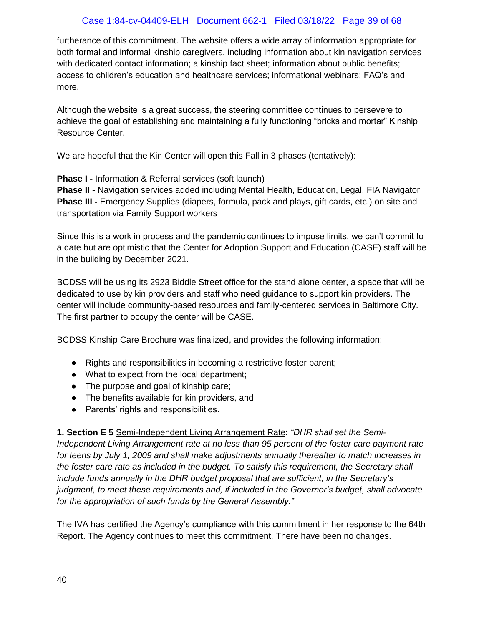## Case 1:84-cv-04409-ELH Document 662-1 Filed 03/18/22 Page 39 of 68

furtherance of this commitment. The website offers a wide array of information appropriate for both formal and informal kinship caregivers, including information about kin navigation services with dedicated contact information; a kinship fact sheet; information about public benefits; access to children's education and healthcare services; informational webinars; FAQ's and more.

Although the website is a great success, the steering committee continues to persevere to achieve the goal of establishing and maintaining a fully functioning "bricks and mortar" Kinship Resource Center.

We are hopeful that the Kin Center will open this Fall in 3 phases (tentatively):

**Phase I -** Information & Referral services (soft launch)

**Phase II -** Navigation services added including Mental Health, Education, Legal, FIA Navigator **Phase III -** Emergency Supplies (diapers, formula, pack and plays, gift cards, etc.) on site and transportation via Family Support workers

Since this is a work in process and the pandemic continues to impose limits, we can't commit to a date but are optimistic that the Center for Adoption Support and Education (CASE) staff will be in the building by December 2021.

BCDSS will be using its 2923 Biddle Street office for the stand alone center, a space that will be dedicated to use by kin providers and staff who need guidance to support kin providers. The center will include community-based resources and family-centered services in Baltimore City. The first partner to occupy the center will be CASE.

BCDSS Kinship Care Brochure was finalized, and provides the following information:

- Rights and responsibilities in becoming a restrictive foster parent;
- What to expect from the local department;
- The purpose and goal of kinship care;
- The benefits available for kin providers, and
- Parents' rights and responsibilities.

**1. Section E 5** Semi-Independent Living Arrangement Rate: *"DHR shall set the Semi-Independent Living Arrangement rate at no less than 95 percent of the foster care payment rate for teens by July 1, 2009 and shall make adjustments annually thereafter to match increases in the foster care rate as included in the budget. To satisfy this requirement, the Secretary shall include funds annually in the DHR budget proposal that are sufficient, in the Secretary's judgment, to meet these requirements and, if included in the Governor's budget, shall advocate for the appropriation of such funds by the General Assembly."*

The IVA has certified the Agency's compliance with this commitment in her response to the 64th Report. The Agency continues to meet this commitment. There have been no changes.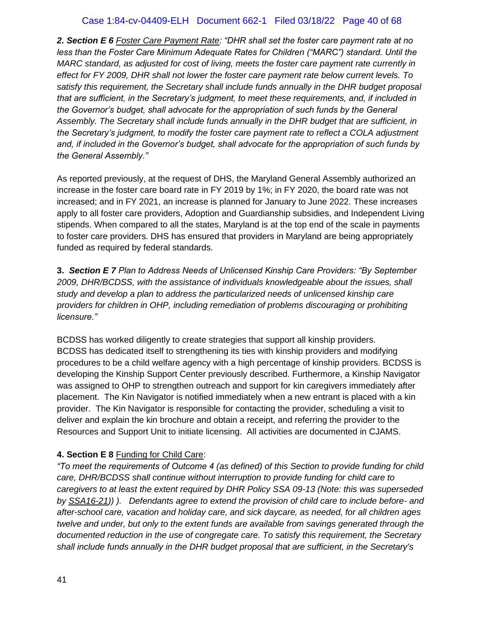## Case 1:84-cv-04409-ELH Document 662-1 Filed 03/18/22 Page 40 of 68

*2. Section E 6 Foster Care Payment Rate: "DHR shall set the foster care payment rate at no*  less than the Foster Care Minimum Adequate Rates for Children ("MARC") standard. Until the *MARC standard, as adjusted for cost of living, meets the foster care payment rate currently in effect for FY 2009, DHR shall not lower the foster care payment rate below current levels. To satisfy this requirement, the Secretary shall include funds annually in the DHR budget proposal that are sufficient, in the Secretary's judgment, to meet these requirements, and, if included in the Governor's budget, shall advocate for the appropriation of such funds by the General Assembly. The Secretary shall include funds annually in the DHR budget that are sufficient, in the Secretary's judgment, to modify the foster care payment rate to reflect a COLA adjustment and, if included in the Governor's budget, shall advocate for the appropriation of such funds by the General Assembly."* 

As reported previously, at the request of DHS, the Maryland General Assembly authorized an increase in the foster care board rate in FY 2019 by 1%; in FY 2020, the board rate was not increased; and in FY 2021, an increase is planned for January to June 2022. These increases apply to all foster care providers, Adoption and Guardianship subsidies, and Independent Living stipends. When compared to all the states, Maryland is at the top end of the scale in payments to foster care providers. DHS has ensured that providers in Maryland are being appropriately funded as required by federal standards.

**3.** *Section E 7 Plan to Address Needs of Unlicensed Kinship Care Providers: "By September 2009, DHR/BCDSS, with the assistance of individuals knowledgeable about the issues, shall study and develop a plan to address the particularized needs of unlicensed kinship care providers for children in OHP, including remediation of problems discouraging or prohibiting licensure."*

BCDSS has worked diligently to create strategies that support all kinship providers. BCDSS has dedicated itself to strengthening its ties with kinship providers and modifying procedures to be a child welfare agency with a high percentage of kinship providers. BCDSS is developing the Kinship Support Center previously described. Furthermore, a Kinship Navigator was assigned to OHP to strengthen outreach and support for kin caregivers immediately after placement. The Kin Navigator is notified immediately when a new entrant is placed with a kin provider. The Kin Navigator is responsible for contacting the provider, scheduling a visit to deliver and explain the kin brochure and obtain a receipt, and referring the provider to the Resources and Support Unit to initiate licensing. All activities are documented in CJAMS.

#### **4. Section E 8** Funding for Child Care:

*"To meet the requirements of Outcome 4 (as defined) of this Section to provide funding for child care, DHR/BCDSS shall continue without interruption to provide funding for child care to caregivers to at least the extent required by DHR Policy SSA 09-13 (Note: this was superseded by [SSA16-21\)](about:blank)) ). Defendants agree to extend the provision of child care to include before- and after-school care, vacation and holiday care, and sick daycare, as needed, for all children ages twelve and under, but only to the extent funds are available from savings generated through the documented reduction in the use of congregate care. To satisfy this requirement, the Secretary shall include funds annually in the DHR budget proposal that are sufficient, in the Secretary's*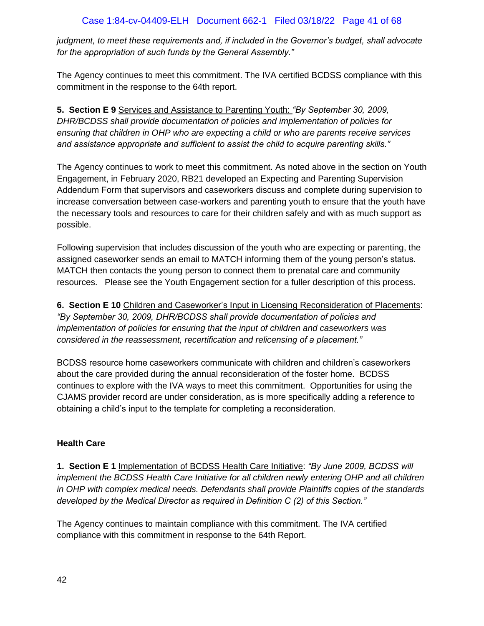*judgment, to meet these requirements and, if included in the Governor's budget, shall advocate for the appropriation of such funds by the General Assembly."*

The Agency continues to meet this commitment. The IVA certified BCDSS compliance with this commitment in the response to the 64th report.

**5. Section E 9** Services and Assistance to Parenting Youth: *"By September 30, 2009, DHR/BCDSS shall provide documentation of policies and implementation of policies for ensuring that children in OHP who are expecting a child or who are parents receive services and assistance appropriate and sufficient to assist the child to acquire parenting skills."*

The Agency continues to work to meet this commitment. As noted above in the section on Youth Engagement, in February 2020, RB21 developed an Expecting and Parenting Supervision Addendum Form that supervisors and caseworkers discuss and complete during supervision to increase conversation between case-workers and parenting youth to ensure that the youth have the necessary tools and resources to care for their children safely and with as much support as possible.

Following supervision that includes discussion of the youth who are expecting or parenting, the assigned caseworker sends an email to MATCH informing them of the young person's status. MATCH then contacts the young person to connect them to prenatal care and community resources. Please see the Youth Engagement section for a fuller description of this process.

**6. Section E 10** Children and Caseworker's Input in Licensing Reconsideration of Placements: *"By September 30, 2009, DHR/BCDSS shall provide documentation of policies and implementation of policies for ensuring that the input of children and caseworkers was considered in the reassessment, recertification and relicensing of a placement."*

BCDSS resource home caseworkers communicate with children and children's caseworkers about the care provided during the annual reconsideration of the foster home. BCDSS continues to explore with the IVA ways to meet this commitment. Opportunities for using the CJAMS provider record are under consideration, as is more specifically adding a reference to obtaining a child's input to the template for completing a reconsideration.

## **Health Care**

**1. Section E 1** Implementation of BCDSS Health Care Initiative: *"By June 2009, BCDSS will implement the BCDSS Health Care Initiative for all children newly entering OHP and all children in OHP with complex medical needs. Defendants shall provide Plaintiffs copies of the standards developed by the Medical Director as required in Definition C (2) of this Section."*

The Agency continues to maintain compliance with this commitment. The IVA certified compliance with this commitment in response to the 64th Report.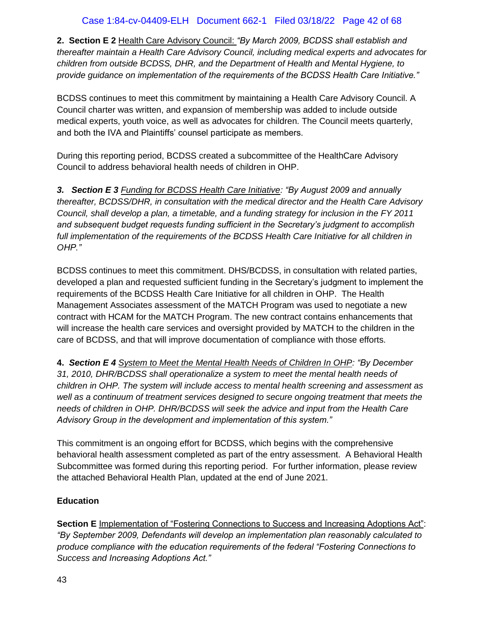**2. Section E 2** Health Care Advisory Council: *"By March 2009, BCDSS shall establish and thereafter maintain a Health Care Advisory Council, including medical experts and advocates for children from outside BCDSS, DHR, and the Department of Health and Mental Hygiene, to provide guidance on implementation of the requirements of the BCDSS Health Care Initiative."*

BCDSS continues to meet this commitment by maintaining a Health Care Advisory Council. A Council charter was written, and expansion of membership was added to include outside medical experts, youth voice, as well as advocates for children. The Council meets quarterly, and both the IVA and Plaintiffs' counsel participate as members.

During this reporting period, BCDSS created a subcommittee of the HealthCare Advisory Council to address behavioral health needs of children in OHP.

*3. Section E 3 Funding for BCDSS Health Care Initiative: "By August 2009 and annually thereafter, BCDSS/DHR, in consultation with the medical director and the Health Care Advisory Council, shall develop a plan, a timetable, and a funding strategy for inclusion in the FY 2011 and subsequent budget requests funding sufficient in the Secretary's judgment to accomplish*  full implementation of the requirements of the BCDSS Health Care Initiative for all children in *OHP."*

BCDSS continues to meet this commitment. DHS/BCDSS, in consultation with related parties, developed a plan and requested sufficient funding in the Secretary's judgment to implement the requirements of the BCDSS Health Care Initiative for all children in OHP. The Health Management Associates assessment of the MATCH Program was used to negotiate a new contract with HCAM for the MATCH Program. The new contract contains enhancements that will increase the health care services and oversight provided by MATCH to the children in the care of BCDSS, and that will improve documentation of compliance with those efforts.

**4.** *Section E 4 System to Meet the Mental Health Needs of Children In OHP: "By December 31, 2010, DHR/BCDSS shall operationalize a system to meet the mental health needs of children in OHP. The system will include access to mental health screening and assessment as well as a continuum of treatment services designed to secure ongoing treatment that meets the needs of children in OHP. DHR/BCDSS will seek the advice and input from the Health Care Advisory Group in the development and implementation of this system."* 

This commitment is an ongoing effort for BCDSS, which begins with the comprehensive behavioral health assessment completed as part of the entry assessment. A Behavioral Health Subcommittee was formed during this reporting period. For further information, please review the attached Behavioral Health Plan, updated at the end of June 2021.

## **Education**

**Section E** Implementation of "Fostering Connections to Success and Increasing Adoptions Act": *"By September 2009, Defendants will develop an implementation plan reasonably calculated to produce compliance with the education requirements of the federal "Fostering Connections to Success and Increasing Adoptions Act."*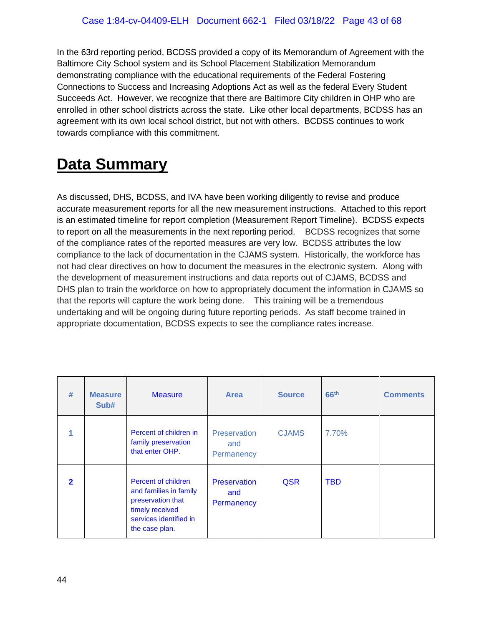In the 63rd reporting period, BCDSS provided a copy of its Memorandum of Agreement with the Baltimore City School system and its School Placement Stabilization Memorandum demonstrating compliance with the educational requirements of the Federal Fostering Connections to Success and Increasing Adoptions Act as well as the federal Every Student Succeeds Act. However, we recognize that there are Baltimore City children in OHP who are enrolled in other school districts across the state. Like other local departments, BCDSS has an agreement with its own local school district, but not with others. BCDSS continues to work towards compliance with this commitment.

# <span id="page-42-0"></span>**Data Summary**

As discussed, DHS, BCDSS, and IVA have been working diligently to revise and produce accurate measurement reports for all the new measurement instructions. Attached to this report is an estimated timeline for report completion (Measurement Report Timeline). BCDSS expects to report on all the measurements in the next reporting period. BCDSS recognizes that some of the compliance rates of the reported measures are very low. BCDSS attributes the low compliance to the lack of documentation in the CJAMS system. Historically, the workforce has not had clear directives on how to document the measures in the electronic system. Along with the development of measurement instructions and data reports out of CJAMS, BCDSS and DHS plan to train the workforce on how to appropriately document the information in CJAMS so that the reports will capture the work being done. This training will be a tremendous undertaking and will be ongoing during future reporting periods. As staff become trained in appropriate documentation, BCDSS expects to see the compliance rates increase.

| #                       | <b>Measure</b><br>Sub# | <b>Measure</b>                                                                                                                    | <b>Area</b>                       | <b>Source</b> | 66 <sup>th</sup> | <b>Comments</b> |
|-------------------------|------------------------|-----------------------------------------------------------------------------------------------------------------------------------|-----------------------------------|---------------|------------------|-----------------|
|                         |                        | Percent of children in<br>family preservation<br>that enter OHP.                                                                  | Preservation<br>and<br>Permanency | <b>CJAMS</b>  | 7.70%            |                 |
| $\overline{\mathbf{2}}$ |                        | Percent of children<br>and families in family<br>preservation that<br>timely received<br>services identified in<br>the case plan. | Preservation<br>and<br>Permanency | <b>QSR</b>    | <b>TBD</b>       |                 |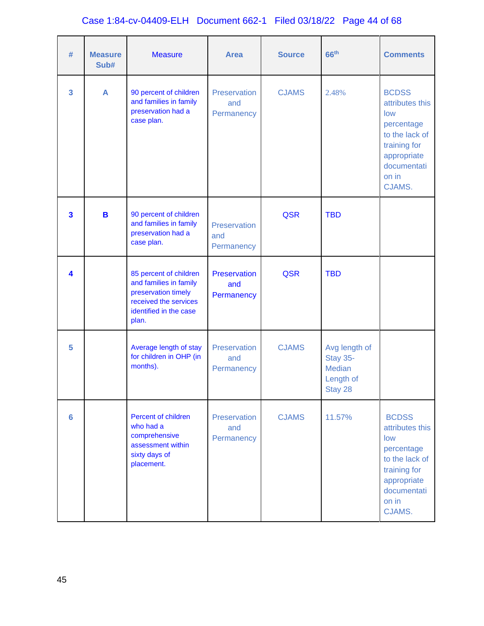# Case 1:84-cv-04409-ELH Document 662-1 Filed 03/18/22 Page 44 of 68

| #              | <b>Measure</b><br>Sub# | <b>Measure</b>                                                                                                                      | <b>Area</b>                       | <b>Source</b> | 66 <sup>th</sup>                                                          | <b>Comments</b>                                                                                                                         |
|----------------|------------------------|-------------------------------------------------------------------------------------------------------------------------------------|-----------------------------------|---------------|---------------------------------------------------------------------------|-----------------------------------------------------------------------------------------------------------------------------------------|
| 3              | A                      | 90 percent of children<br>and families in family<br>preservation had a<br>case plan.                                                | Preservation<br>and<br>Permanency | <b>CJAMS</b>  | 2.48%                                                                     | <b>BCDSS</b><br>attributes this<br>low<br>percentage<br>to the lack of<br>training for<br>appropriate<br>documentati<br>on in<br>CJAMS. |
| 3              | B                      | 90 percent of children<br>and families in family<br>preservation had a<br>case plan.                                                | Preservation<br>and<br>Permanency | <b>QSR</b>    | <b>TBD</b>                                                                |                                                                                                                                         |
| 4              |                        | 85 percent of children<br>and families in family<br>preservation timely<br>received the services<br>identified in the case<br>plan. | Preservation<br>and<br>Permanency | <b>QSR</b>    | <b>TBD</b>                                                                |                                                                                                                                         |
| 5              |                        | Average length of stay<br>for children in OHP (in<br>months).                                                                       | Preservation<br>and<br>Permanency | <b>CJAMS</b>  | Avg length of<br><b>Stay 35-</b><br><b>Median</b><br>Length of<br>Stay 28 |                                                                                                                                         |
| $6\phantom{a}$ |                        | Percent of children<br>who had a<br>comprehensive<br>assessment within<br>sixty days of<br>placement.                               | Preservation<br>and<br>Permanency | <b>CJAMS</b>  | 11.57%                                                                    | <b>BCDSS</b><br>attributes this<br>low<br>percentage<br>to the lack of<br>training for<br>appropriate<br>documentati<br>on in<br>CJAMS. |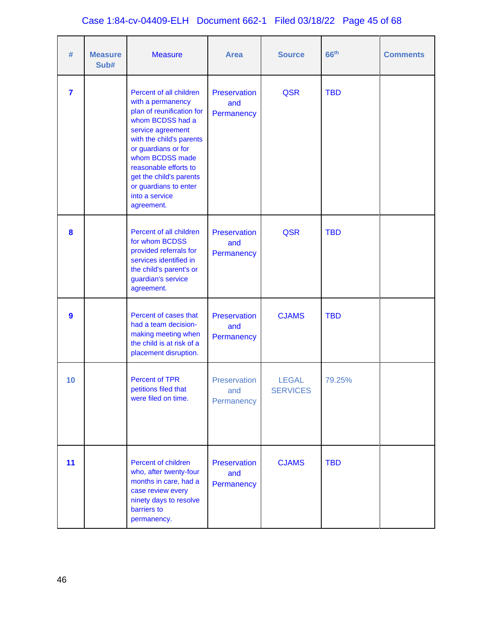# Case 1:84-cv-04409-ELH Document 662-1 Filed 03/18/22 Page 45 of 68

| #                | <b>Measure</b><br>Sub# | <b>Measure</b>                                                                                                                                                                                                                                                                                        | <b>Area</b>                       | <b>Source</b>                   | 66 <sup>th</sup> | <b>Comments</b> |
|------------------|------------------------|-------------------------------------------------------------------------------------------------------------------------------------------------------------------------------------------------------------------------------------------------------------------------------------------------------|-----------------------------------|---------------------------------|------------------|-----------------|
| $\overline{7}$   |                        | Percent of all children<br>with a permanency<br>plan of reunification for<br>whom BCDSS had a<br>service agreement<br>with the child's parents<br>or guardians or for<br>whom BCDSS made<br>reasonable efforts to<br>get the child's parents<br>or guardians to enter<br>into a service<br>agreement. | Preservation<br>and<br>Permanency | <b>QSR</b>                      | <b>TBD</b>       |                 |
| 8                |                        | Percent of all children<br>for whom BCDSS<br>provided referrals for<br>services identified in<br>the child's parent's or<br>guardian's service<br>agreement.                                                                                                                                          | Preservation<br>and<br>Permanency | <b>QSR</b>                      | <b>TBD</b>       |                 |
| $\boldsymbol{9}$ |                        | Percent of cases that<br>had a team decision-<br>making meeting when<br>the child is at risk of a<br>placement disruption.                                                                                                                                                                            | Preservation<br>and<br>Permanency | <b>CJAMS</b>                    | <b>TBD</b>       |                 |
| 10               |                        | Percent of TPR<br>petitions filed that<br>were filed on time.                                                                                                                                                                                                                                         | Preservation<br>and<br>Permanency | <b>LEGAL</b><br><b>SERVICES</b> | 79.25%           |                 |
| 11               |                        | Percent of children<br>who, after twenty-four<br>months in care, had a<br>case review every<br>ninety days to resolve<br>barriers to<br>permanency.                                                                                                                                                   | Preservation<br>and<br>Permanency | <b>CJAMS</b>                    | <b>TBD</b>       |                 |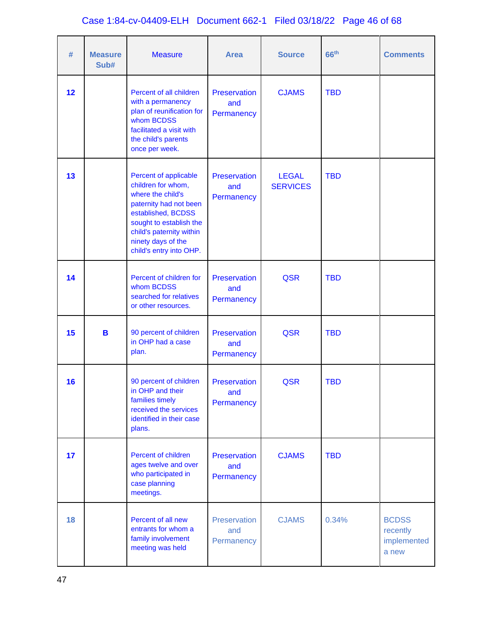# Case 1:84-cv-04409-ELH Document 662-1 Filed 03/18/22 Page 46 of 68

| #  | <b>Measure</b><br>Sub# | <b>Measure</b>                                                                                                                                                                                                           | <b>Area</b>                              | <b>Source</b>                   | 66 <sup>th</sup> | <b>Comments</b>                                  |
|----|------------------------|--------------------------------------------------------------------------------------------------------------------------------------------------------------------------------------------------------------------------|------------------------------------------|---------------------------------|------------------|--------------------------------------------------|
| 12 |                        | Percent of all children<br>with a permanency<br>plan of reunification for<br>whom BCDSS<br>facilitated a visit with<br>the child's parents<br>once per week.                                                             | Preservation<br>and<br>Permanency        | <b>CJAMS</b>                    | <b>TBD</b>       |                                                  |
| 13 |                        | Percent of applicable<br>children for whom,<br>where the child's<br>paternity had not been<br>established, BCDSS<br>sought to establish the<br>child's paternity within<br>ninety days of the<br>child's entry into OHP. | <b>Preservation</b><br>and<br>Permanency | <b>LEGAL</b><br><b>SERVICES</b> | <b>TBD</b>       |                                                  |
| 14 |                        | Percent of children for<br>whom BCDSS<br>searched for relatives<br>or other resources.                                                                                                                                   | Preservation<br>and<br>Permanency        | <b>QSR</b>                      | <b>TBD</b>       |                                                  |
| 15 | B                      | 90 percent of children<br>in OHP had a case<br>plan.                                                                                                                                                                     | Preservation<br>and<br>Permanency        | <b>QSR</b>                      | <b>TBD</b>       |                                                  |
| 16 |                        | 90 percent of children<br>in OHP and their<br>families timely<br>received the services<br>identified in their case<br>plans.                                                                                             | Preservation<br>and<br>Permanency        | <b>QSR</b>                      | <b>TBD</b>       |                                                  |
| 17 |                        | Percent of children<br>ages twelve and over<br>who participated in<br>case planning<br>meetings.                                                                                                                         | Preservation<br>and<br>Permanency        | <b>CJAMS</b>                    | <b>TBD</b>       |                                                  |
| 18 |                        | Percent of all new<br>entrants for whom a<br>family involvement<br>meeting was held                                                                                                                                      | Preservation<br>and<br>Permanency        | <b>CJAMS</b>                    | 0.34%            | <b>BCDSS</b><br>recently<br>implemented<br>a new |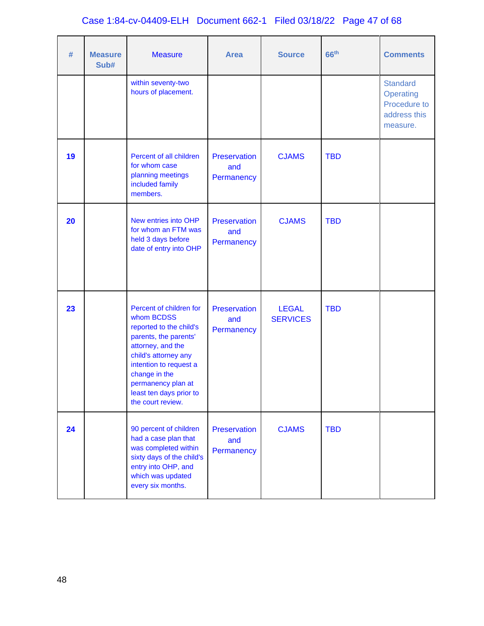# Case 1:84-cv-04409-ELH Document 662-1 Filed 03/18/22 Page 47 of 68

| #  | <b>Measure</b><br>Sub# | <b>Measure</b>                                                                                                                                                                                                                                          | <b>Area</b>                       | <b>Source</b>                   | 66 <sup>th</sup> | <b>Comments</b>                                                          |
|----|------------------------|---------------------------------------------------------------------------------------------------------------------------------------------------------------------------------------------------------------------------------------------------------|-----------------------------------|---------------------------------|------------------|--------------------------------------------------------------------------|
|    |                        | within seventy-two<br>hours of placement.                                                                                                                                                                                                               |                                   |                                 |                  | <b>Standard</b><br>Operating<br>Procedure to<br>address this<br>measure. |
| 19 |                        | Percent of all children<br>for whom case<br>planning meetings<br>included family<br>members.                                                                                                                                                            | Preservation<br>and<br>Permanency | <b>CJAMS</b>                    | <b>TBD</b>       |                                                                          |
| 20 |                        | New entries into OHP<br>for whom an FTM was<br>held 3 days before<br>date of entry into OHP                                                                                                                                                             | Preservation<br>and<br>Permanency | <b>CJAMS</b>                    | <b>TBD</b>       |                                                                          |
| 23 |                        | Percent of children for<br>whom BCDSS<br>reported to the child's<br>parents, the parents'<br>attorney, and the<br>child's attorney any<br>intention to request a<br>change in the<br>permanency plan at<br>least ten days prior to<br>the court review. | Preservation<br>and<br>Permanency | <b>LEGAL</b><br><b>SERVICES</b> | <b>TBD</b>       |                                                                          |
| 24 |                        | 90 percent of children<br>had a case plan that<br>was completed within<br>sixty days of the child's<br>entry into OHP, and<br>which was updated<br>every six months.                                                                                    | Preservation<br>and<br>Permanency | <b>CJAMS</b>                    | <b>TBD</b>       |                                                                          |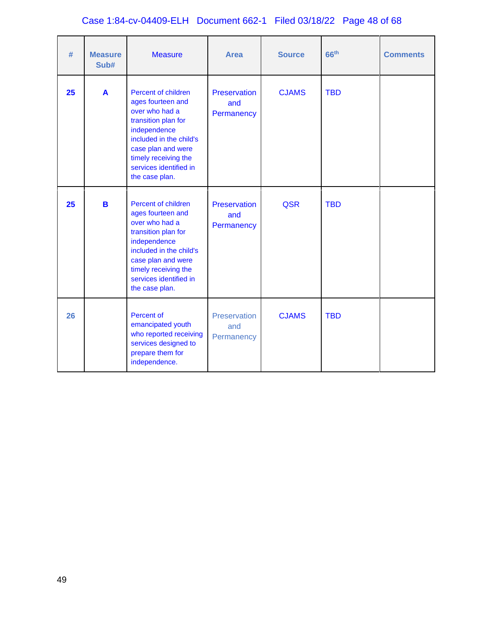# Case 1:84-cv-04409-ELH Document 662-1 Filed 03/18/22 Page 48 of 68

| #  | <b>Measure</b><br>Sub# | <b>Measure</b>                                                                                                                                                                                                         | <b>Area</b>                       | <b>Source</b> | 66 <sup>th</sup> | <b>Comments</b> |
|----|------------------------|------------------------------------------------------------------------------------------------------------------------------------------------------------------------------------------------------------------------|-----------------------------------|---------------|------------------|-----------------|
| 25 | $\mathbf{A}$           | Percent of children<br>ages fourteen and<br>over who had a<br>transition plan for<br>independence<br>included in the child's<br>case plan and were<br>timely receiving the<br>services identified in<br>the case plan. | Preservation<br>and<br>Permanency | <b>CJAMS</b>  | <b>TBD</b>       |                 |
| 25 | B                      | Percent of children<br>ages fourteen and<br>over who had a<br>transition plan for<br>independence<br>included in the child's<br>case plan and were<br>timely receiving the<br>services identified in<br>the case plan. | Preservation<br>and<br>Permanency | <b>QSR</b>    | <b>TBD</b>       |                 |
| 26 |                        | Percent of<br>emancipated youth<br>who reported receiving<br>services designed to<br>prepare them for<br>independence.                                                                                                 | Preservation<br>and<br>Permanency | <b>CJAMS</b>  | <b>TBD</b>       |                 |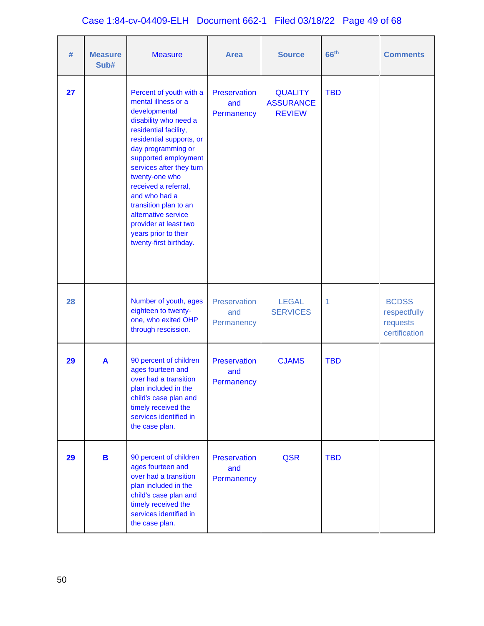# Case 1:84-cv-04409-ELH Document 662-1 Filed 03/18/22 Page 49 of 68

| #  | <b>Measure</b><br>Sub# | <b>Measure</b>                                                                                                                                                                                                                                                                                                                                                                                                | <b>Area</b>                              | <b>Source</b>                                       | 66 <sup>th</sup> | <b>Comments</b>                                           |
|----|------------------------|---------------------------------------------------------------------------------------------------------------------------------------------------------------------------------------------------------------------------------------------------------------------------------------------------------------------------------------------------------------------------------------------------------------|------------------------------------------|-----------------------------------------------------|------------------|-----------------------------------------------------------|
| 27 |                        | Percent of youth with a<br>mental illness or a<br>developmental<br>disability who need a<br>residential facility,<br>residential supports, or<br>day programming or<br>supported employment<br>services after they turn<br>twenty-one who<br>received a referral,<br>and who had a<br>transition plan to an<br>alternative service<br>provider at least two<br>years prior to their<br>twenty-first birthday. | Preservation<br>and<br>Permanency        | <b>QUALITY</b><br><b>ASSURANCE</b><br><b>REVIEW</b> | <b>TBD</b>       |                                                           |
| 28 |                        | Number of youth, ages<br>eighteen to twenty-<br>one, who exited OHP<br>through rescission.                                                                                                                                                                                                                                                                                                                    | Preservation<br>and<br>Permanency        | <b>LEGAL</b><br><b>SERVICES</b>                     | 1                | <b>BCDSS</b><br>respectfully<br>requests<br>certification |
| 29 | A                      | 90 percent of children<br>ages fourteen and<br>over had a transition<br>plan included in the<br>child's case plan and<br>timely received the<br>services identified in<br>the case plan.                                                                                                                                                                                                                      | <b>Preservation</b><br>and<br>Permanency | <b>CJAMS</b>                                        | <b>TBD</b>       |                                                           |
| 29 | B                      | 90 percent of children<br>ages fourteen and<br>over had a transition<br>plan included in the<br>child's case plan and<br>timely received the<br>services identified in<br>the case plan.                                                                                                                                                                                                                      | Preservation<br>and<br>Permanency        | QSR                                                 | <b>TBD</b>       |                                                           |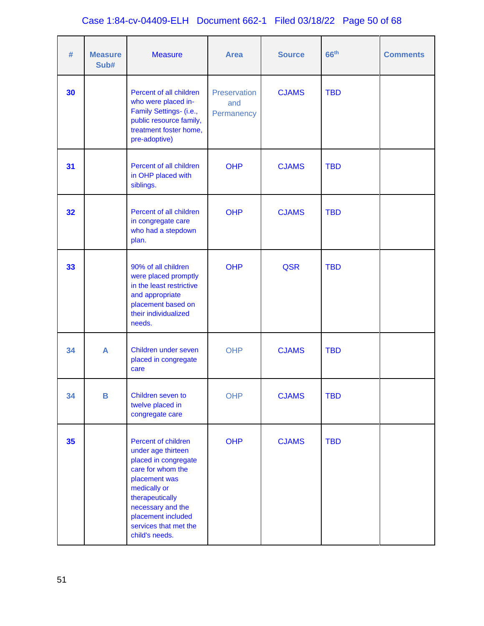# Case 1:84-cv-04409-ELH Document 662-1 Filed 03/18/22 Page 50 of 68

| #  | <b>Measure</b><br>Sub# | <b>Measure</b>                                                                                                                                                                                                                   | <b>Area</b>                       | <b>Source</b> | 66 <sup>th</sup> | <b>Comments</b> |
|----|------------------------|----------------------------------------------------------------------------------------------------------------------------------------------------------------------------------------------------------------------------------|-----------------------------------|---------------|------------------|-----------------|
| 30 |                        | Percent of all children<br>who were placed in-<br>Family Settings- (i.e.,<br>public resource family,<br>treatment foster home,<br>pre-adoptive)                                                                                  | Preservation<br>and<br>Permanency | <b>CJAMS</b>  | <b>TBD</b>       |                 |
| 31 |                        | Percent of all children<br>in OHP placed with<br>siblings.                                                                                                                                                                       | <b>OHP</b>                        | <b>CJAMS</b>  | <b>TBD</b>       |                 |
| 32 |                        | Percent of all children<br>in congregate care<br>who had a stepdown<br>plan.                                                                                                                                                     | <b>OHP</b>                        | <b>CJAMS</b>  | <b>TBD</b>       |                 |
| 33 |                        | 90% of all children<br>were placed promptly<br>in the least restrictive<br>and appropriate<br>placement based on<br>their individualized<br>needs.                                                                               | <b>OHP</b>                        | <b>QSR</b>    | <b>TBD</b>       |                 |
| 34 | A                      | Children under seven<br>placed in congregate<br>care                                                                                                                                                                             | <b>OHP</b>                        | <b>CJAMS</b>  | <b>TBD</b>       |                 |
| 34 | B                      | Children seven to<br>twelve placed in<br>congregate care                                                                                                                                                                         | <b>OHP</b>                        | <b>CJAMS</b>  | <b>TBD</b>       |                 |
| 35 |                        | Percent of children<br>under age thirteen<br>placed in congregate<br>care for whom the<br>placement was<br>medically or<br>therapeutically<br>necessary and the<br>placement included<br>services that met the<br>child's needs. | <b>OHP</b>                        | <b>CJAMS</b>  | <b>TBD</b>       |                 |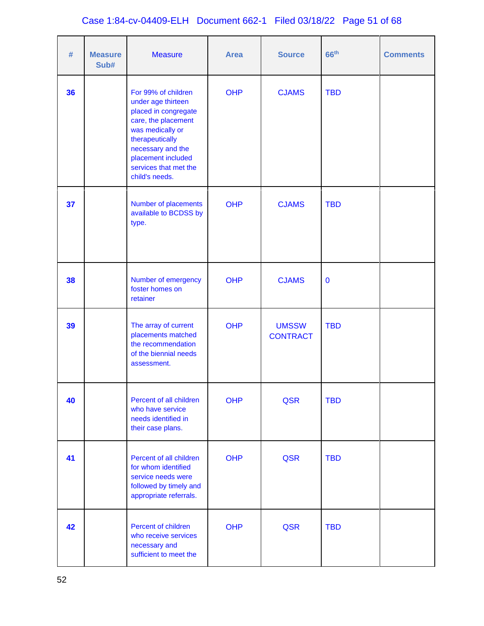# Case 1:84-cv-04409-ELH Document 662-1 Filed 03/18/22 Page 51 of 68

| #  | <b>Measure</b><br>Sub# | <b>Measure</b>                                                                                                                                                                                                        | <b>Area</b> | <b>Source</b>                   | 66 <sup>th</sup> | <b>Comments</b> |
|----|------------------------|-----------------------------------------------------------------------------------------------------------------------------------------------------------------------------------------------------------------------|-------------|---------------------------------|------------------|-----------------|
| 36 |                        | For 99% of children<br>under age thirteen<br>placed in congregate<br>care, the placement<br>was medically or<br>therapeutically<br>necessary and the<br>placement included<br>services that met the<br>child's needs. | <b>OHP</b>  | <b>CJAMS</b>                    | <b>TBD</b>       |                 |
| 37 |                        | Number of placements<br>available to BCDSS by<br>type.                                                                                                                                                                | <b>OHP</b>  | <b>CJAMS</b>                    | <b>TBD</b>       |                 |
| 38 |                        | Number of emergency<br>foster homes on<br>retainer                                                                                                                                                                    | <b>OHP</b>  | <b>CJAMS</b>                    | $\mathbf 0$      |                 |
| 39 |                        | The array of current<br>placements matched<br>the recommendation<br>of the biennial needs<br>assessment.                                                                                                              | <b>OHP</b>  | <b>UMSSW</b><br><b>CONTRACT</b> | <b>TBD</b>       |                 |
| 40 |                        | Percent of all children<br>who have service<br>needs identified in<br>their case plans.                                                                                                                               | <b>OHP</b>  | QSR                             | <b>TBD</b>       |                 |
| 41 |                        | Percent of all children<br>for whom identified<br>service needs were<br>followed by timely and<br>appropriate referrals.                                                                                              | <b>OHP</b>  | <b>QSR</b>                      | <b>TBD</b>       |                 |
| 42 |                        | Percent of children<br>who receive services<br>necessary and<br>sufficient to meet the                                                                                                                                | <b>OHP</b>  | <b>QSR</b>                      | <b>TBD</b>       |                 |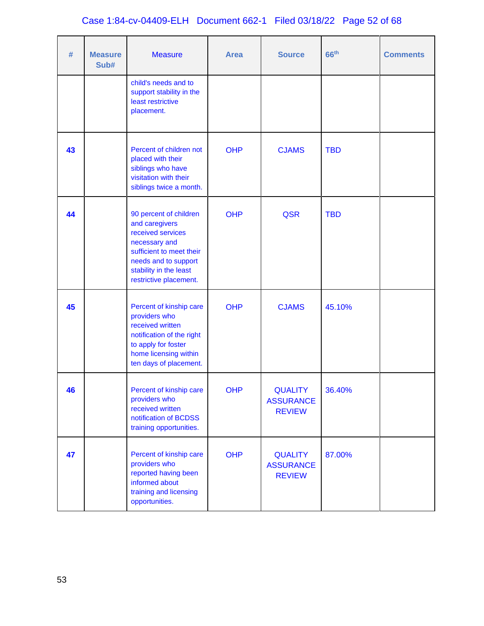# Case 1:84-cv-04409-ELH Document 662-1 Filed 03/18/22 Page 52 of 68

| #  | <b>Measure</b><br>Sub# | <b>Measure</b>                                                                                                                                                                         | <b>Area</b> | <b>Source</b>                                       | 66 <sup>th</sup> | <b>Comments</b> |
|----|------------------------|----------------------------------------------------------------------------------------------------------------------------------------------------------------------------------------|-------------|-----------------------------------------------------|------------------|-----------------|
|    |                        | child's needs and to<br>support stability in the<br>least restrictive<br>placement.                                                                                                    |             |                                                     |                  |                 |
| 43 |                        | Percent of children not<br>placed with their<br>siblings who have<br>visitation with their<br>siblings twice a month.                                                                  | <b>OHP</b>  | <b>CJAMS</b>                                        | <b>TBD</b>       |                 |
| 44 |                        | 90 percent of children<br>and caregivers<br>received services<br>necessary and<br>sufficient to meet their<br>needs and to support<br>stability in the least<br>restrictive placement. | <b>OHP</b>  | <b>QSR</b>                                          | <b>TBD</b>       |                 |
| 45 |                        | Percent of kinship care<br>providers who<br>received written<br>notification of the right<br>to apply for foster<br>home licensing within<br>ten days of placement.                    | <b>OHP</b>  | <b>CJAMS</b>                                        | 45.10%           |                 |
| 46 |                        | Percent of kinship care<br>providers who<br>received written<br>notification of BCDSS<br>training opportunities.                                                                       | <b>OHP</b>  | <b>QUALITY</b><br><b>ASSURANCE</b><br><b>REVIEW</b> | 36.40%           |                 |
| 47 |                        | Percent of kinship care<br>providers who<br>reported having been<br>informed about<br>training and licensing<br>opportunities.                                                         | <b>OHP</b>  | <b>QUALITY</b><br><b>ASSURANCE</b><br><b>REVIEW</b> | 87.00%           |                 |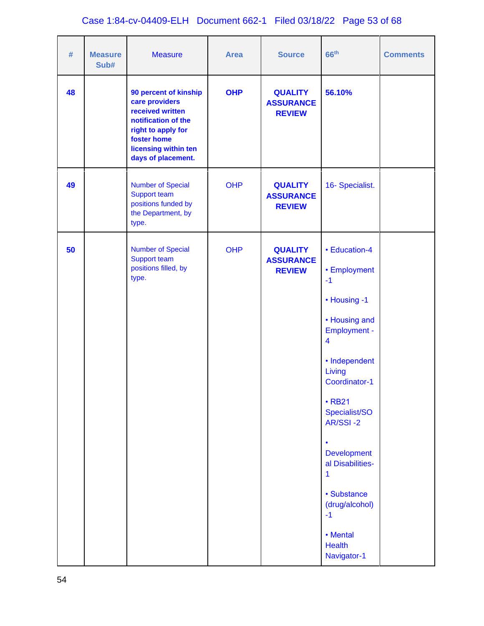# Case 1:84-cv-04409-ELH Document 662-1 Filed 03/18/22 Page 53 of 68

| $\#$ | <b>Measure</b><br>Sub# | <b>Measure</b>                                                                                                                                                        | <b>Area</b> | <b>Source</b>                                       | 66 <sup>th</sup>                                                                                                                                                                                                                                                                                                       | <b>Comments</b> |
|------|------------------------|-----------------------------------------------------------------------------------------------------------------------------------------------------------------------|-------------|-----------------------------------------------------|------------------------------------------------------------------------------------------------------------------------------------------------------------------------------------------------------------------------------------------------------------------------------------------------------------------------|-----------------|
| 48   |                        | 90 percent of kinship<br>care providers<br>received written<br>notification of the<br>right to apply for<br>foster home<br>licensing within ten<br>days of placement. | <b>OHP</b>  | <b>QUALITY</b><br><b>ASSURANCE</b><br><b>REVIEW</b> | 56.10%                                                                                                                                                                                                                                                                                                                 |                 |
| 49   |                        | <b>Number of Special</b><br>Support team<br>positions funded by<br>the Department, by<br>type.                                                                        | <b>OHP</b>  | <b>QUALITY</b><br><b>ASSURANCE</b><br><b>REVIEW</b> | 16- Specialist.                                                                                                                                                                                                                                                                                                        |                 |
| 50   |                        | <b>Number of Special</b><br>Support team<br>positions filled, by<br>type.                                                                                             | <b>OHP</b>  | <b>QUALITY</b><br><b>ASSURANCE</b><br><b>REVIEW</b> | • Education-4<br>• Employment<br>$-1$<br>• Housing -1<br>• Housing and<br><b>Employment -</b><br>$\overline{\mathbf{4}}$<br>• Independent<br>Living<br>Coordinator-1<br>$\cdot$ RB21<br>Specialist/SO<br>AR/SSI-2<br>$\bullet$<br><b>Development</b><br>al Disabilities-<br>1<br>• Substance<br>(drug/alcohol)<br>$-1$ |                 |
|      |                        |                                                                                                                                                                       |             |                                                     | • Mental<br><b>Health</b><br>Navigator-1                                                                                                                                                                                                                                                                               |                 |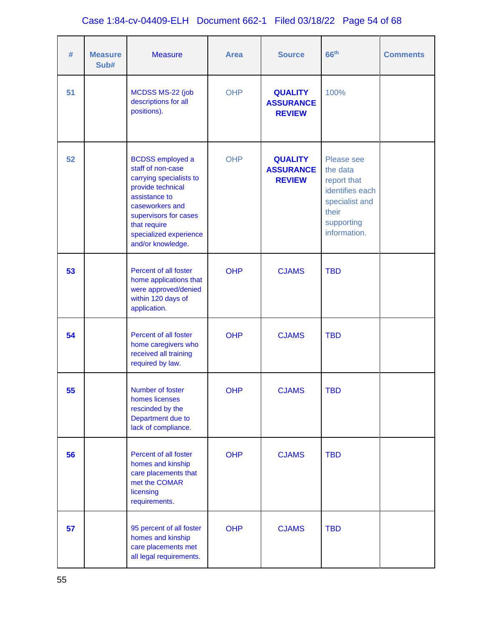# Case 1:84-cv-04409-ELH Document 662-1 Filed 03/18/22 Page 54 of 68

| #  | <b>Measure</b><br>Sub# | <b>Measure</b>                                                                                                                                                                                                           | <b>Area</b> | <b>Source</b>                                       | 66 <sup>th</sup>                                                                                                  | <b>Comments</b> |
|----|------------------------|--------------------------------------------------------------------------------------------------------------------------------------------------------------------------------------------------------------------------|-------------|-----------------------------------------------------|-------------------------------------------------------------------------------------------------------------------|-----------------|
| 51 |                        | MCDSS MS-22 (job<br>descriptions for all<br>positions).                                                                                                                                                                  | <b>OHP</b>  | <b>QUALITY</b><br><b>ASSURANCE</b><br><b>REVIEW</b> | 100%                                                                                                              |                 |
| 52 |                        | <b>BCDSS</b> employed a<br>staff of non-case<br>carrying specialists to<br>provide technical<br>assistance to<br>caseworkers and<br>supervisors for cases<br>that require<br>specialized experience<br>and/or knowledge. | <b>OHP</b>  | <b>QUALITY</b><br><b>ASSURANCE</b><br><b>REVIEW</b> | Please see<br>the data<br>report that<br>identifies each<br>specialist and<br>their<br>supporting<br>information. |                 |
| 53 |                        | Percent of all foster<br>home applications that<br>were approved/denied<br>within 120 days of<br>application.                                                                                                            | <b>OHP</b>  | <b>CJAMS</b>                                        | <b>TBD</b>                                                                                                        |                 |
| 54 |                        | Percent of all foster<br>home caregivers who<br>received all training<br>required by law.                                                                                                                                | <b>OHP</b>  | <b>CJAMS</b>                                        | <b>TBD</b>                                                                                                        |                 |
| 55 |                        | Number of foster<br>homes licenses<br>rescinded by the<br>Department due to<br>lack of compliance.                                                                                                                       | <b>OHP</b>  | <b>CJAMS</b>                                        | <b>TBD</b>                                                                                                        |                 |
| 56 |                        | Percent of all foster<br>homes and kinship<br>care placements that<br>met the COMAR<br>licensing<br>requirements.                                                                                                        | <b>OHP</b>  | <b>CJAMS</b>                                        | <b>TBD</b>                                                                                                        |                 |
| 57 |                        | 95 percent of all foster<br>homes and kinship<br>care placements met<br>all legal requirements.                                                                                                                          | <b>OHP</b>  | <b>CJAMS</b>                                        | <b>TBD</b>                                                                                                        |                 |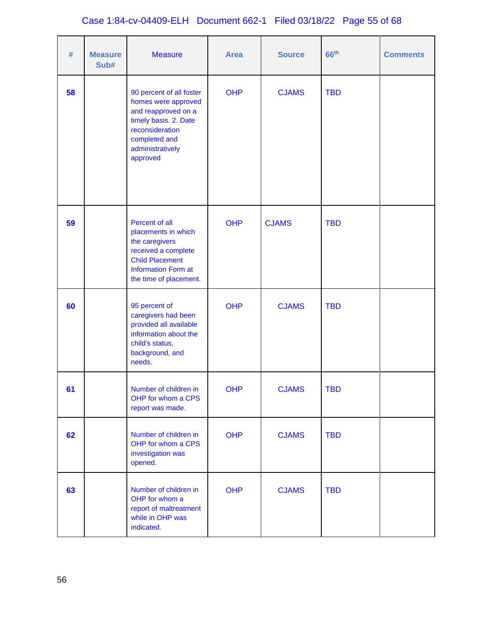# Case 1:84-cv-04409-ELH Document 662-1 Filed 03/18/22 Page 55 of 68

| #  | <b>Measure</b><br>Sub# | <b>Measure</b>                                                                                                                                                      | <b>Area</b> | <b>Source</b> | 66 <sup>th</sup> | <b>Comments</b> |
|----|------------------------|---------------------------------------------------------------------------------------------------------------------------------------------------------------------|-------------|---------------|------------------|-----------------|
| 58 |                        | 90 percent of all foster<br>homes were approved<br>and reapproved on a<br>timely basis. 2. Date<br>reconsideration<br>completed and<br>administratively<br>approved | <b>OHP</b>  | <b>CJAMS</b>  | <b>TBD</b>       |                 |
| 59 |                        | Percent of all<br>placements in which<br>the caregivers<br>received a complete<br><b>Child Placement</b><br><b>Information Form at</b><br>the time of placement.    | <b>OHP</b>  | <b>CJAMS</b>  | <b>TBD</b>       |                 |
| 60 |                        | 95 percent of<br>caregivers had been<br>provided all available<br>information about the<br>child's status,<br>background, and<br>needs.                             | <b>OHP</b>  | <b>CJAMS</b>  | <b>TBD</b>       |                 |
| 61 |                        | Number of children in<br>OHP for whom a CPS<br>report was made.                                                                                                     | <b>OHP</b>  | <b>CJAMS</b>  | <b>TBD</b>       |                 |
| 62 |                        | Number of children in<br>OHP for whom a CPS<br>investigation was<br>opened.                                                                                         | <b>OHP</b>  | <b>CJAMS</b>  | <b>TBD</b>       |                 |
| 63 |                        | Number of children in<br>OHP for whom a<br>report of maltreatment<br>while in OHP was<br>indicated.                                                                 | <b>OHP</b>  | <b>CJAMS</b>  | <b>TBD</b>       |                 |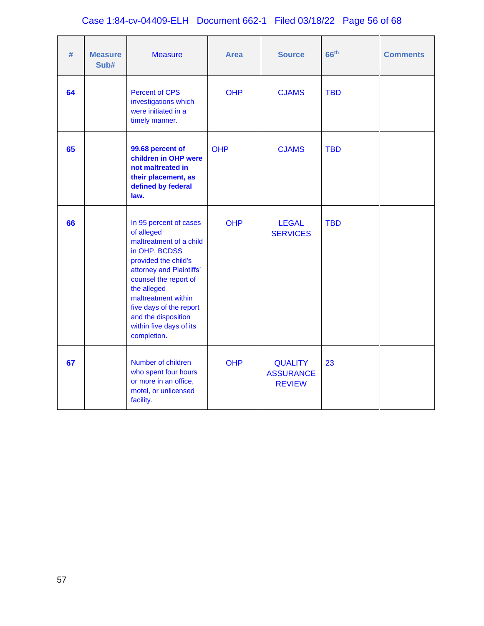# Case 1:84-cv-04409-ELH Document 662-1 Filed 03/18/22 Page 56 of 68

| #  | <b>Measure</b><br>Sub# | <b>Measure</b>                                                                                                                                                                                                                                                                                  | <b>Area</b> | <b>Source</b>                                       | 66 <sup>th</sup> | <b>Comments</b> |
|----|------------------------|-------------------------------------------------------------------------------------------------------------------------------------------------------------------------------------------------------------------------------------------------------------------------------------------------|-------------|-----------------------------------------------------|------------------|-----------------|
| 64 |                        | <b>Percent of CPS</b><br>investigations which<br>were initiated in a<br>timely manner.                                                                                                                                                                                                          | <b>OHP</b>  | <b>CJAMS</b>                                        | <b>TBD</b>       |                 |
| 65 |                        | 99.68 percent of<br>children in OHP were<br>not maltreated in<br>their placement, as<br>defined by federal<br>law.                                                                                                                                                                              | <b>OHP</b>  | <b>CJAMS</b>                                        | <b>TBD</b>       |                 |
| 66 |                        | In 95 percent of cases<br>of alleged<br>maltreatment of a child<br>in OHP, BCDSS<br>provided the child's<br>attorney and Plaintiffs'<br>counsel the report of<br>the alleged<br>maltreatment within<br>five days of the report<br>and the disposition<br>within five days of its<br>completion. | <b>OHP</b>  | <b>LEGAL</b><br><b>SERVICES</b>                     | <b>TBD</b>       |                 |
| 67 |                        | Number of children<br>who spent four hours<br>or more in an office,<br>motel, or unlicensed<br>facility.                                                                                                                                                                                        | <b>OHP</b>  | <b>QUALITY</b><br><b>ASSURANCE</b><br><b>REVIEW</b> | 23               |                 |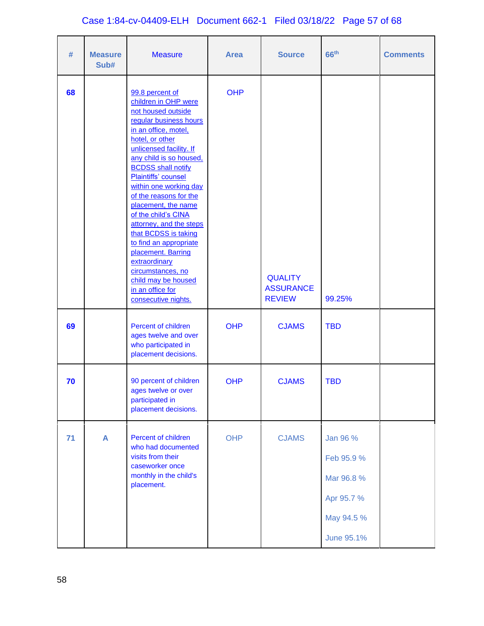# Case 1:84-cv-04409-ELH Document 662-1 Filed 03/18/22 Page 57 of 68

| #  | <b>Measure</b><br>Sub# | <b>Measure</b>                                                                                                                                                                                                                                                                                                                                                                                                                                                                                                                                            | <b>Area</b> | <b>Source</b>                                       | 66 <sup>th</sup>                                                               | <b>Comments</b> |
|----|------------------------|-----------------------------------------------------------------------------------------------------------------------------------------------------------------------------------------------------------------------------------------------------------------------------------------------------------------------------------------------------------------------------------------------------------------------------------------------------------------------------------------------------------------------------------------------------------|-------------|-----------------------------------------------------|--------------------------------------------------------------------------------|-----------------|
| 68 |                        | 99.8 percent of<br>children in OHP were<br>not housed outside<br>regular business hours<br>in an office, motel,<br>hotel, or other<br>unlicensed facility. If<br>any child is so housed.<br><b>BCDSS</b> shall notify<br>Plaintiffs' counsel<br>within one working day<br>of the reasons for the<br>placement, the name<br>of the child's CINA<br>attorney, and the steps<br>that BCDSS is taking<br>to find an appropriate<br>placement. Barring<br>extraordinary<br>circumstances, no<br>child may be housed<br>in an office for<br>consecutive nights. | <b>OHP</b>  | <b>QUALITY</b><br><b>ASSURANCE</b><br><b>REVIEW</b> | 99.25%                                                                         |                 |
| 69 |                        | Percent of children<br>ages twelve and over<br>who participated in<br>placement decisions.                                                                                                                                                                                                                                                                                                                                                                                                                                                                | <b>OHP</b>  | <b>CJAMS</b>                                        | <b>TBD</b>                                                                     |                 |
| 70 |                        | 90 percent of children<br>ages twelve or over<br>participated in<br>placement decisions.                                                                                                                                                                                                                                                                                                                                                                                                                                                                  | <b>OHP</b>  | <b>CJAMS</b>                                        | <b>TBD</b>                                                                     |                 |
| 71 | A                      | Percent of children<br>who had documented<br>visits from their<br>caseworker once<br>monthly in the child's<br>placement.                                                                                                                                                                                                                                                                                                                                                                                                                                 | <b>OHP</b>  | <b>CJAMS</b>                                        | Jan 96 %<br>Feb 95.9 %<br>Mar 96.8 %<br>Apr 95.7 %<br>May 94.5 %<br>June 95.1% |                 |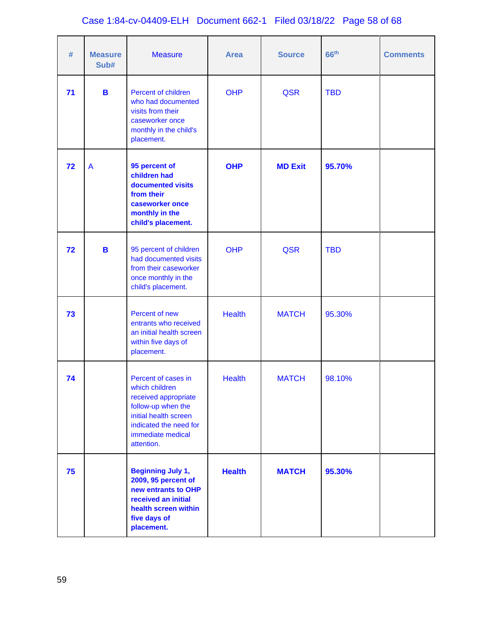# Case 1:84-cv-04409-ELH Document 662-1 Filed 03/18/22 Page 58 of 68

| #  | <b>Measure</b><br>Sub# | <b>Measure</b>                                                                                                                                                            | <b>Area</b>   | <b>Source</b>  | 66 <sup>th</sup> | <b>Comments</b> |
|----|------------------------|---------------------------------------------------------------------------------------------------------------------------------------------------------------------------|---------------|----------------|------------------|-----------------|
| 71 | B                      | Percent of children<br>who had documented<br>visits from their<br>caseworker once<br>monthly in the child's<br>placement.                                                 | <b>OHP</b>    | <b>QSR</b>     | <b>TBD</b>       |                 |
| 72 | A                      | 95 percent of<br>children had<br>documented visits<br>from their<br>caseworker once<br>monthly in the<br>child's placement.                                               | <b>OHP</b>    | <b>MD Exit</b> | 95.70%           |                 |
| 72 | B                      | 95 percent of children<br>had documented visits<br>from their caseworker<br>once monthly in the<br>child's placement.                                                     | <b>OHP</b>    | <b>QSR</b>     | <b>TBD</b>       |                 |
| 73 |                        | Percent of new<br>entrants who received<br>an initial health screen<br>within five days of<br>placement.                                                                  | <b>Health</b> | <b>MATCH</b>   | 95.30%           |                 |
| 74 |                        | Percent of cases in<br>which children<br>received appropriate<br>follow-up when the<br>initial health screen<br>indicated the need for<br>immediate medical<br>attention. | <b>Health</b> | <b>MATCH</b>   | 98.10%           |                 |
| 75 |                        | <b>Beginning July 1,</b><br>2009, 95 percent of<br>new entrants to OHP<br>received an initial<br>health screen within<br>five days of<br>placement.                       | <b>Health</b> | <b>MATCH</b>   | 95.30%           |                 |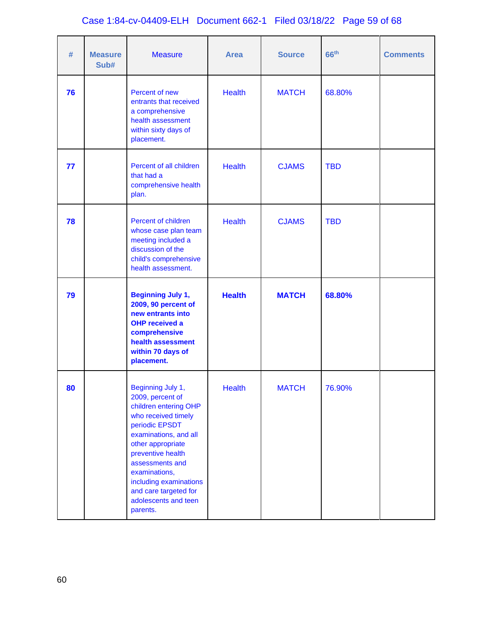# Case 1:84-cv-04409-ELH Document 662-1 Filed 03/18/22 Page 59 of 68

| #  | <b>Measure</b><br>Sub# | <b>Measure</b>                                                                                                                                                                                                                                                                                        | <b>Area</b>   | <b>Source</b> | 66 <sup>th</sup> | <b>Comments</b> |
|----|------------------------|-------------------------------------------------------------------------------------------------------------------------------------------------------------------------------------------------------------------------------------------------------------------------------------------------------|---------------|---------------|------------------|-----------------|
| 76 |                        | Percent of new<br>entrants that received<br>a comprehensive<br>health assessment<br>within sixty days of<br>placement.                                                                                                                                                                                | <b>Health</b> | <b>MATCH</b>  | 68.80%           |                 |
| 77 |                        | Percent of all children<br>that had a<br>comprehensive health<br>plan.                                                                                                                                                                                                                                | <b>Health</b> | <b>CJAMS</b>  | <b>TBD</b>       |                 |
| 78 |                        | Percent of children<br>whose case plan team<br>meeting included a<br>discussion of the<br>child's comprehensive<br>health assessment.                                                                                                                                                                 | <b>Health</b> | <b>CJAMS</b>  | <b>TBD</b>       |                 |
| 79 |                        | <b>Beginning July 1,</b><br>2009, 90 percent of<br>new entrants into<br><b>OHP received a</b><br>comprehensive<br>health assessment<br>within 70 days of<br>placement.                                                                                                                                | <b>Health</b> | <b>MATCH</b>  | 68.80%           |                 |
| 80 |                        | Beginning July 1,<br>2009, percent of<br>children entering OHP<br>who received timely<br>periodic EPSDT<br>examinations, and all<br>other appropriate<br>preventive health<br>assessments and<br>examinations,<br>including examinations<br>and care targeted for<br>adolescents and teen<br>parents. | <b>Health</b> | <b>MATCH</b>  | 76.90%           |                 |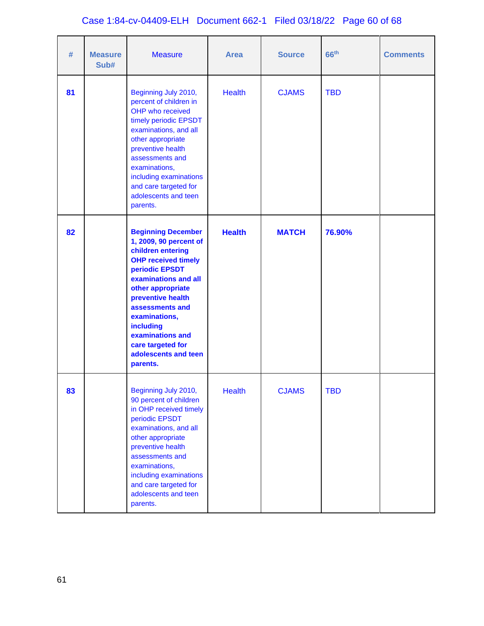# Case 1:84-cv-04409-ELH Document 662-1 Filed 03/18/22 Page 60 of 68

| #  | <b>Measure</b><br>Sub# | <b>Measure</b>                                                                                                                                                                                                                                                                                                           | <b>Area</b>   | <b>Source</b> | 66 <sup>th</sup> | <b>Comments</b> |
|----|------------------------|--------------------------------------------------------------------------------------------------------------------------------------------------------------------------------------------------------------------------------------------------------------------------------------------------------------------------|---------------|---------------|------------------|-----------------|
| 81 |                        | Beginning July 2010,<br>percent of children in<br>OHP who received<br>timely periodic EPSDT<br>examinations, and all<br>other appropriate<br>preventive health<br>assessments and<br>examinations,<br>including examinations<br>and care targeted for<br>adolescents and teen<br>parents.                                | <b>Health</b> | <b>CJAMS</b>  | <b>TBD</b>       |                 |
| 82 |                        | <b>Beginning December</b><br>1, 2009, 90 percent of<br>children entering<br><b>OHP received timely</b><br>periodic EPSDT<br>examinations and all<br>other appropriate<br>preventive health<br>assessments and<br>examinations,<br>including<br>examinations and<br>care targeted for<br>adolescents and teen<br>parents. | <b>Health</b> | <b>MATCH</b>  | 76.90%           |                 |
| 83 |                        | Beginning July 2010,<br>90 percent of children<br>in OHP received timely<br>periodic EPSDT<br>examinations, and all<br>other appropriate<br>preventive health<br>assessments and<br>examinations,<br>including examinations<br>and care targeted for<br>adolescents and teen<br>parents.                                 | Health        | <b>CJAMS</b>  | <b>TBD</b>       |                 |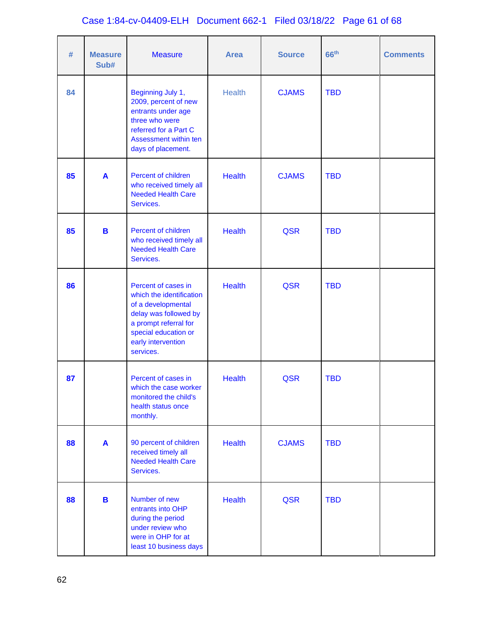# Case 1:84-cv-04409-ELH Document 662-1 Filed 03/18/22 Page 61 of 68

| #  | <b>Measure</b><br>Sub# | <b>Measure</b>                                                                                                                                                                     | <b>Area</b>   | <b>Source</b> | 66 <sup>th</sup> | <b>Comments</b> |
|----|------------------------|------------------------------------------------------------------------------------------------------------------------------------------------------------------------------------|---------------|---------------|------------------|-----------------|
| 84 |                        | Beginning July 1,<br>2009, percent of new<br>entrants under age<br>three who were<br>referred for a Part C<br>Assessment within ten<br>days of placement.                          | <b>Health</b> | <b>CJAMS</b>  | <b>TBD</b>       |                 |
| 85 | A                      | Percent of children<br>who received timely all<br><b>Needed Health Care</b><br>Services.                                                                                           | <b>Health</b> | <b>CJAMS</b>  | <b>TBD</b>       |                 |
| 85 | B                      | Percent of children<br>who received timely all<br><b>Needed Health Care</b><br>Services.                                                                                           | <b>Health</b> | <b>QSR</b>    | <b>TBD</b>       |                 |
| 86 |                        | Percent of cases in<br>which the identification<br>of a developmental<br>delay was followed by<br>a prompt referral for<br>special education or<br>early intervention<br>services. | <b>Health</b> | <b>QSR</b>    | <b>TBD</b>       |                 |
| 87 |                        | Percent of cases in<br>which the case worker<br>monitored the child's<br>health status once<br>monthly.                                                                            | <b>Health</b> | <b>QSR</b>    | <b>TBD</b>       |                 |
| 88 | A                      | 90 percent of children<br>received timely all<br><b>Needed Health Care</b><br>Services.                                                                                            | <b>Health</b> | <b>CJAMS</b>  | <b>TBD</b>       |                 |
| 88 | B                      | Number of new<br>entrants into OHP<br>during the period<br>under review who<br>were in OHP for at<br>least 10 business days                                                        | <b>Health</b> | <b>QSR</b>    | <b>TBD</b>       |                 |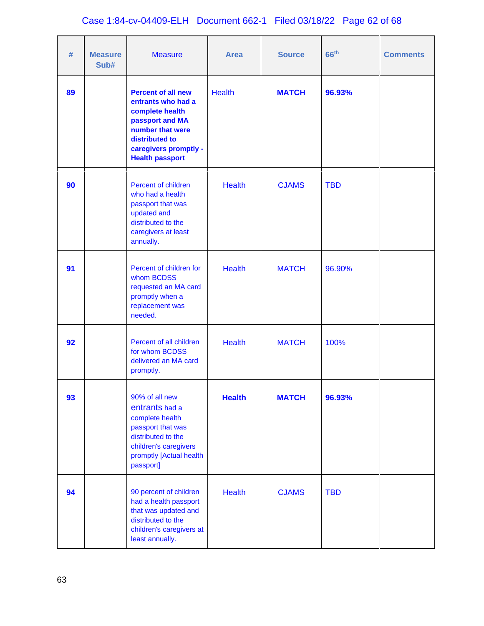| #  | <b>Measure</b><br>Sub# | <b>Measure</b>                                                                                                                                                                 | <b>Area</b>   | <b>Source</b> | 66 <sup>th</sup> | <b>Comments</b> |
|----|------------------------|--------------------------------------------------------------------------------------------------------------------------------------------------------------------------------|---------------|---------------|------------------|-----------------|
| 89 |                        | <b>Percent of all new</b><br>entrants who had a<br>complete health<br>passport and MA<br>number that were<br>distributed to<br>caregivers promptly -<br><b>Health passport</b> | <b>Health</b> | <b>MATCH</b>  | 96.93%           |                 |
| 90 |                        | Percent of children<br>who had a health<br>passport that was<br>updated and<br>distributed to the<br>caregivers at least<br>annually.                                          | <b>Health</b> | <b>CJAMS</b>  | <b>TBD</b>       |                 |
| 91 |                        | Percent of children for<br>whom BCDSS<br>requested an MA card<br>promptly when a<br>replacement was<br>needed.                                                                 | <b>Health</b> | <b>MATCH</b>  | 96.90%           |                 |
| 92 |                        | Percent of all children<br>for whom BCDSS<br>delivered an MA card<br>promptly.                                                                                                 | <b>Health</b> | <b>MATCH</b>  | 100%             |                 |
| 93 |                        | 90% of all new<br>entrants had a<br>complete health<br>passport that was<br>distributed to the<br>children's caregivers<br>promptly [Actual health<br>passport]                | <b>Health</b> | <b>MATCH</b>  | 96.93%           |                 |
| 94 |                        | 90 percent of children<br>had a health passport<br>that was updated and<br>distributed to the<br>children's caregivers at<br>least annually.                                   | <b>Health</b> | <b>CJAMS</b>  | <b>TBD</b>       |                 |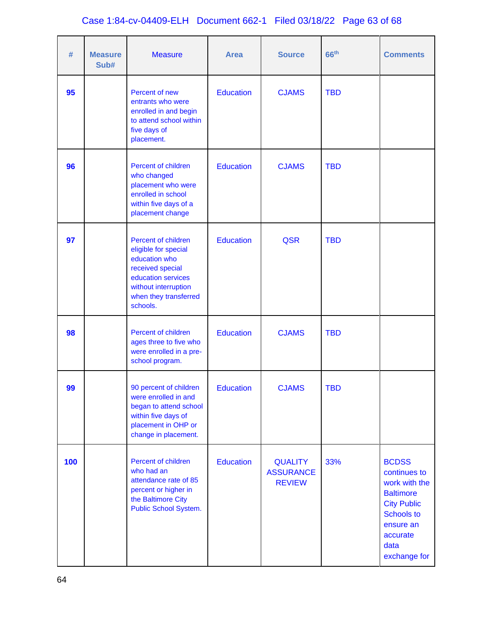# Case 1:84-cv-04409-ELH Document 662-1 Filed 03/18/22 Page 63 of 68

| #   | <b>Measure</b><br>Sub# | <b>Measure</b>                                                                                                                                                      | <b>Area</b>      | <b>Source</b>                                       | 66 <sup>th</sup> | <b>Comments</b>                                                                                                                                               |
|-----|------------------------|---------------------------------------------------------------------------------------------------------------------------------------------------------------------|------------------|-----------------------------------------------------|------------------|---------------------------------------------------------------------------------------------------------------------------------------------------------------|
| 95  |                        | Percent of new<br>entrants who were<br>enrolled in and begin<br>to attend school within<br>five days of<br>placement.                                               | <b>Education</b> | <b>CJAMS</b>                                        | <b>TBD</b>       |                                                                                                                                                               |
| 96  |                        | Percent of children<br>who changed<br>placement who were<br>enrolled in school<br>within five days of a<br>placement change                                         | <b>Education</b> | <b>CJAMS</b>                                        | <b>TBD</b>       |                                                                                                                                                               |
| 97  |                        | Percent of children<br>eligible for special<br>education who<br>received special<br>education services<br>without interruption<br>when they transferred<br>schools. | <b>Education</b> | <b>QSR</b>                                          | <b>TBD</b>       |                                                                                                                                                               |
| 98  |                        | Percent of children<br>ages three to five who<br>were enrolled in a pre-<br>school program.                                                                         | <b>Education</b> | <b>CJAMS</b>                                        | <b>TBD</b>       |                                                                                                                                                               |
| 99  |                        | 90 percent of children<br>were enrolled in and<br>began to attend school<br>within five days of<br>placement in OHP or<br>change in placement.                      | <b>Education</b> | <b>CJAMS</b>                                        | <b>TBD</b>       |                                                                                                                                                               |
| 100 |                        | Percent of children<br>who had an<br>attendance rate of 85<br>percent or higher in<br>the Baltimore City<br>Public School System.                                   | <b>Education</b> | <b>QUALITY</b><br><b>ASSURANCE</b><br><b>REVIEW</b> | 33%              | <b>BCDSS</b><br>continues to<br>work with the<br><b>Baltimore</b><br><b>City Public</b><br><b>Schools to</b><br>ensure an<br>accurate<br>data<br>exchange for |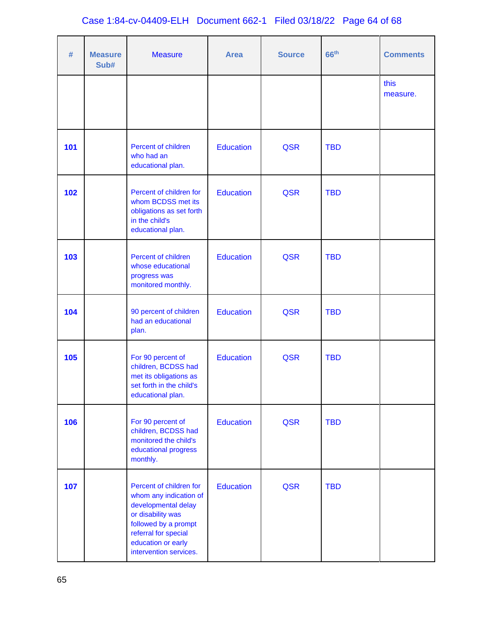| #   | <b>Measure</b><br>Sub# | <b>Measure</b>                                                                                                                                                                                | <b>Area</b>      | <b>Source</b> | 66 <sup>th</sup> | <b>Comments</b>  |
|-----|------------------------|-----------------------------------------------------------------------------------------------------------------------------------------------------------------------------------------------|------------------|---------------|------------------|------------------|
|     |                        |                                                                                                                                                                                               |                  |               |                  | this<br>measure. |
| 101 |                        | Percent of children<br>who had an<br>educational plan.                                                                                                                                        | <b>Education</b> | <b>QSR</b>    | <b>TBD</b>       |                  |
| 102 |                        | Percent of children for<br>whom BCDSS met its<br>obligations as set forth<br>in the child's<br>educational plan.                                                                              | <b>Education</b> | <b>QSR</b>    | <b>TBD</b>       |                  |
| 103 |                        | Percent of children<br>whose educational<br>progress was<br>monitored monthly.                                                                                                                | <b>Education</b> | <b>QSR</b>    | <b>TBD</b>       |                  |
| 104 |                        | 90 percent of children<br>had an educational<br>plan.                                                                                                                                         | <b>Education</b> | <b>QSR</b>    | <b>TBD</b>       |                  |
| 105 |                        | For 90 percent of<br>children, BCDSS had<br>met its obligations as<br>set forth in the child's<br>educational plan.                                                                           | Education        | <b>QSR</b>    | <b>TBD</b>       |                  |
| 106 |                        | For 90 percent of<br>children, BCDSS had<br>monitored the child's<br>educational progress<br>monthly.                                                                                         | <b>Education</b> | <b>QSR</b>    | <b>TBD</b>       |                  |
| 107 |                        | Percent of children for<br>whom any indication of<br>developmental delay<br>or disability was<br>followed by a prompt<br>referral for special<br>education or early<br>intervention services. | Education        | <b>QSR</b>    | <b>TBD</b>       |                  |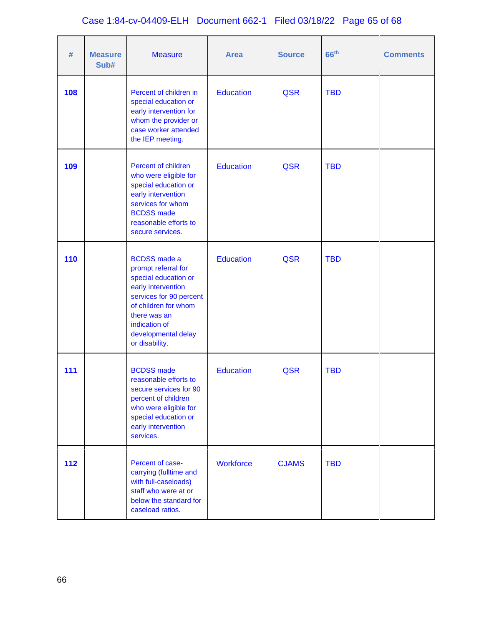# Case 1:84-cv-04409-ELH Document 662-1 Filed 03/18/22 Page 65 of 68

| #   | <b>Measure</b><br>Sub# | <b>Measure</b>                                                                                                                                                                                                        | <b>Area</b>      | <b>Source</b> | 66 <sup>th</sup> | <b>Comments</b> |
|-----|------------------------|-----------------------------------------------------------------------------------------------------------------------------------------------------------------------------------------------------------------------|------------------|---------------|------------------|-----------------|
| 108 |                        | Percent of children in<br>special education or<br>early intervention for<br>whom the provider or<br>case worker attended<br>the IEP meeting.                                                                          | Education        | <b>QSR</b>    | <b>TBD</b>       |                 |
| 109 |                        | Percent of children<br>who were eligible for<br>special education or<br>early intervention<br>services for whom<br><b>BCDSS</b> made<br>reasonable efforts to<br>secure services.                                     | <b>Education</b> | <b>QSR</b>    | <b>TBD</b>       |                 |
| 110 |                        | <b>BCDSS</b> made a<br>prompt referral for<br>special education or<br>early intervention<br>services for 90 percent<br>of children for whom<br>there was an<br>indication of<br>developmental delay<br>or disability. | <b>Education</b> | <b>QSR</b>    | <b>TBD</b>       |                 |
| 111 |                        | <b>BCDSS</b> made<br>reasonable efforts to<br>secure services for 90<br>percent of children<br>who were eligible for<br>special education or<br>early intervention<br>services.                                       | <b>Education</b> | <b>QSR</b>    | <b>TBD</b>       |                 |
| 112 |                        | Percent of case-<br>carrying (fulltime and<br>with full-caseloads)<br>staff who were at or<br>below the standard for<br>caseload ratios.                                                                              | <b>Workforce</b> | <b>CJAMS</b>  | <b>TBD</b>       |                 |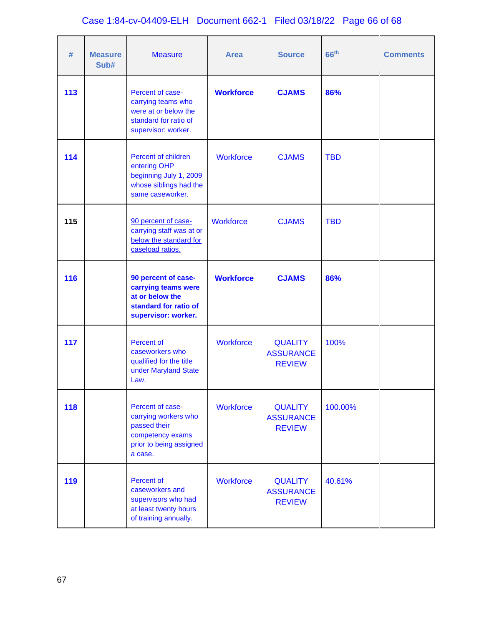# Case 1:84-cv-04409-ELH Document 662-1 Filed 03/18/22 Page 66 of 68

| #   | <b>Measure</b><br>Sub# | <b>Measure</b>                                                                                                     | <b>Area</b>      | <b>Source</b>                                       | 66 <sup>th</sup> | <b>Comments</b> |
|-----|------------------------|--------------------------------------------------------------------------------------------------------------------|------------------|-----------------------------------------------------|------------------|-----------------|
| 113 |                        | Percent of case-<br>carrying teams who<br>were at or below the<br>standard for ratio of<br>supervisor: worker.     | <b>Workforce</b> | <b>CJAMS</b>                                        | 86%              |                 |
| 114 |                        | Percent of children<br>entering OHP<br>beginning July 1, 2009<br>whose siblings had the<br>same caseworker.        | <b>Workforce</b> | <b>CJAMS</b>                                        | <b>TBD</b>       |                 |
| 115 |                        | 90 percent of case-<br>carrying staff was at or<br>below the standard for<br>caseload ratios.                      | <b>Workforce</b> | <b>CJAMS</b>                                        | <b>TBD</b>       |                 |
| 116 |                        | 90 percent of case-<br>carrying teams were<br>at or below the<br>standard for ratio of<br>supervisor: worker.      | <b>Workforce</b> | <b>CJAMS</b>                                        | 86%              |                 |
| 117 |                        | <b>Percent of</b><br>caseworkers who<br>qualified for the title<br>under Maryland State<br>Law.                    | <b>Workforce</b> | <b>QUALITY</b><br><b>ASSURANCE</b><br><b>REVIEW</b> | 100%             |                 |
| 118 |                        | Percent of case-<br>carrying workers who<br>passed their<br>competency exams<br>prior to being assigned<br>a case. | Workforce        | <b>QUALITY</b><br><b>ASSURANCE</b><br><b>REVIEW</b> | 100.00%          |                 |
| 119 |                        | <b>Percent of</b><br>caseworkers and<br>supervisors who had<br>at least twenty hours<br>of training annually.      | <b>Workforce</b> | <b>QUALITY</b><br><b>ASSURANCE</b><br><b>REVIEW</b> | 40.61%           |                 |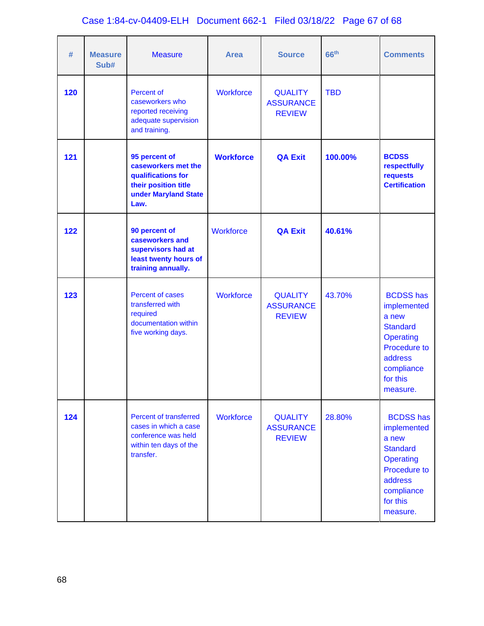# Case 1:84-cv-04409-ELH Document 662-1 Filed 03/18/22 Page 67 of 68

| #   | <b>Measure</b><br>Sub# | <b>Measure</b>                                                                                                       | <b>Area</b>      | <b>Source</b>                                       | 66 <sup>th</sup> | <b>Comments</b>                                                                                                                                         |
|-----|------------------------|----------------------------------------------------------------------------------------------------------------------|------------------|-----------------------------------------------------|------------------|---------------------------------------------------------------------------------------------------------------------------------------------------------|
| 120 |                        | Percent of<br>caseworkers who<br>reported receiving<br>adequate supervision<br>and training.                         | <b>Workforce</b> | <b>QUALITY</b><br><b>ASSURANCE</b><br><b>REVIEW</b> | <b>TBD</b>       |                                                                                                                                                         |
| 121 |                        | 95 percent of<br>caseworkers met the<br>qualifications for<br>their position title<br>under Maryland State<br>Law.   | <b>Workforce</b> | <b>QA Exit</b>                                      | 100.00%          | <b>BCDSS</b><br>respectfully<br>requests<br><b>Certification</b>                                                                                        |
| 122 |                        | 90 percent of<br>caseworkers and<br>supervisors had at<br>least twenty hours of<br>training annually.                | <b>Workforce</b> | <b>QA Exit</b>                                      | 40.61%           |                                                                                                                                                         |
| 123 |                        | Percent of cases<br>transferred with<br>required<br>documentation within<br>five working days.                       | <b>Workforce</b> | <b>QUALITY</b><br><b>ASSURANCE</b><br><b>REVIEW</b> | 43.70%           | <b>BCDSS has</b><br>implemented<br>a new<br><b>Standard</b><br><b>Operating</b><br><b>Procedure to</b><br>address<br>compliance<br>for this<br>measure. |
| 124 |                        | <b>Percent of transferred</b><br>cases in which a case<br>conference was held<br>within ten days of the<br>transfer. | <b>Workforce</b> | <b>QUALITY</b><br><b>ASSURANCE</b><br><b>REVIEW</b> | 28.80%           | <b>BCDSS has</b><br>implemented<br>a new<br><b>Standard</b><br><b>Operating</b><br><b>Procedure to</b><br>address<br>compliance<br>for this<br>measure. |